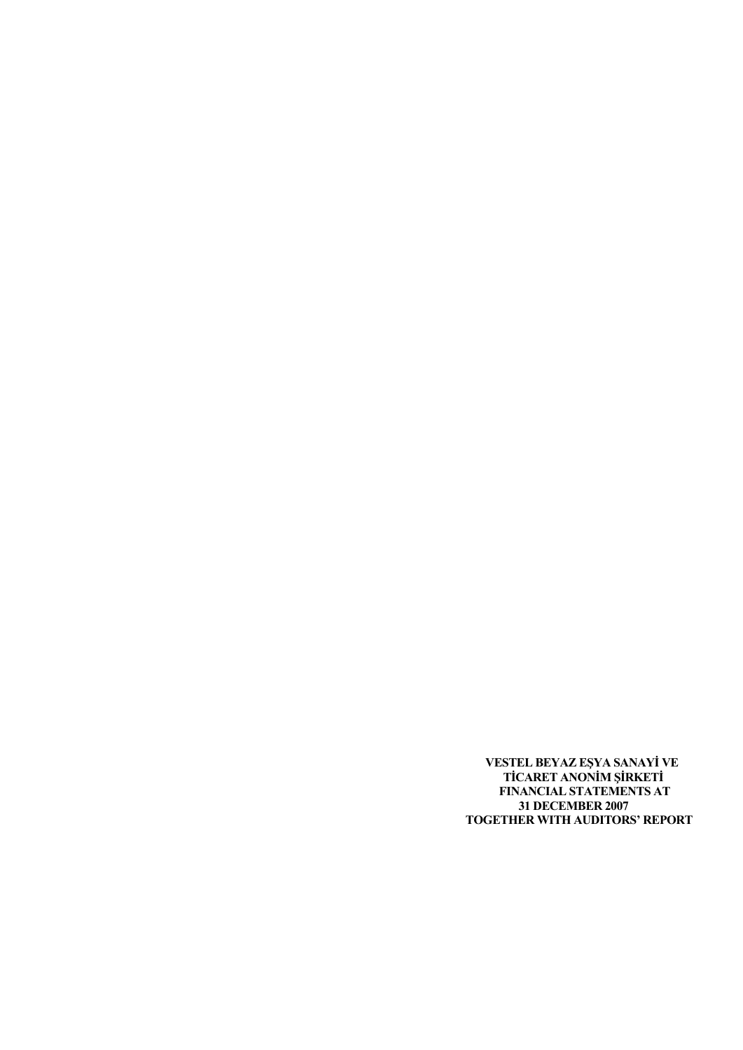**VESTEL BEYAZ EŞYA SANAYİ VE TİCARET ANONİM ŞİRKETİ FINANCIAL STATEMENTS AT 31 DECEMBER 2007 TOGETHER WITH AUDITORS' REPORT**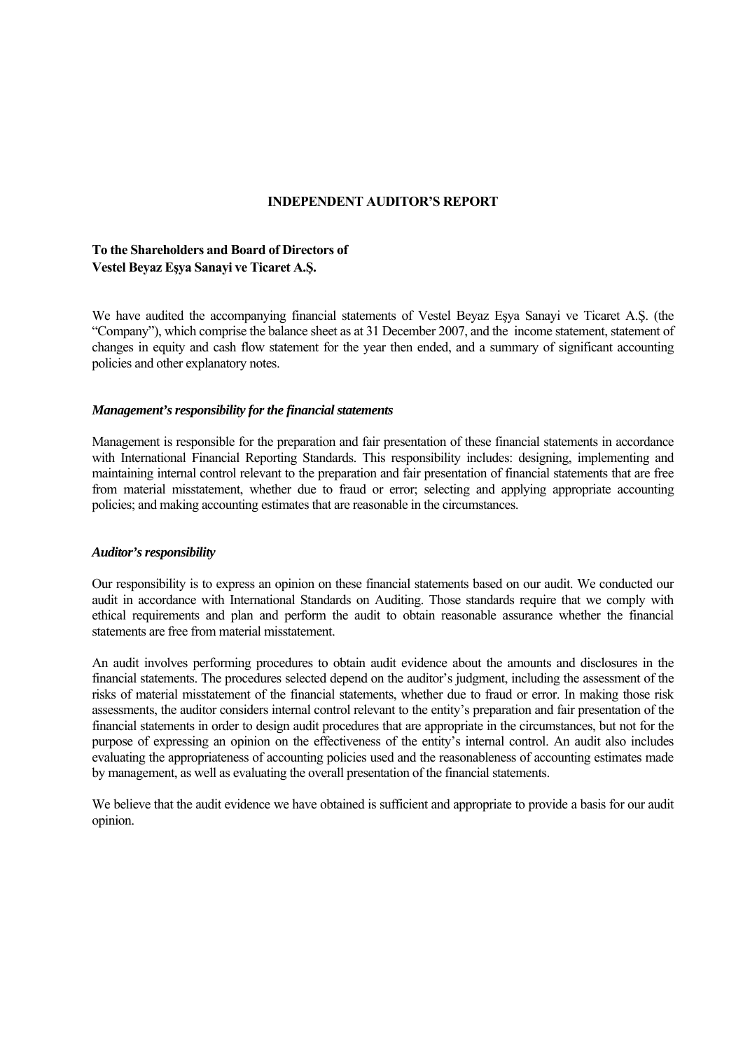# **INDEPENDENT AUDITOR'S REPORT**

# **To the Shareholders and Board of Directors of Vestel Beyaz Eşya Sanayi ve Ticaret A.Ş.**

We have audited the accompanying financial statements of Vestel Beyaz Eşya Sanayi ve Ticaret A.Ş. (the "Company"), which comprise the balance sheet as at 31 December 2007, and the income statement, statement of changes in equity and cash flow statement for the year then ended, and a summary of significant accounting policies and other explanatory notes.

### *Management's responsibility for the financial statements*

Management is responsible for the preparation and fair presentation of these financial statements in accordance with International Financial Reporting Standards. This responsibility includes: designing, implementing and maintaining internal control relevant to the preparation and fair presentation of financial statements that are free from material misstatement, whether due to fraud or error; selecting and applying appropriate accounting policies; and making accounting estimates that are reasonable in the circumstances.

### *Auditor's responsibility*

Our responsibility is to express an opinion on these financial statements based on our audit. We conducted our audit in accordance with International Standards on Auditing. Those standards require that we comply with ethical requirements and plan and perform the audit to obtain reasonable assurance whether the financial statements are free from material misstatement.

An audit involves performing procedures to obtain audit evidence about the amounts and disclosures in the financial statements. The procedures selected depend on the auditor's judgment, including the assessment of the risks of material misstatement of the financial statements, whether due to fraud or error. In making those risk assessments, the auditor considers internal control relevant to the entity's preparation and fair presentation of the financial statements in order to design audit procedures that are appropriate in the circumstances, but not for the purpose of expressing an opinion on the effectiveness of the entity's internal control. An audit also includes evaluating the appropriateness of accounting policies used and the reasonableness of accounting estimates made by management, as well as evaluating the overall presentation of the financial statements.

We believe that the audit evidence we have obtained is sufficient and appropriate to provide a basis for our audit opinion.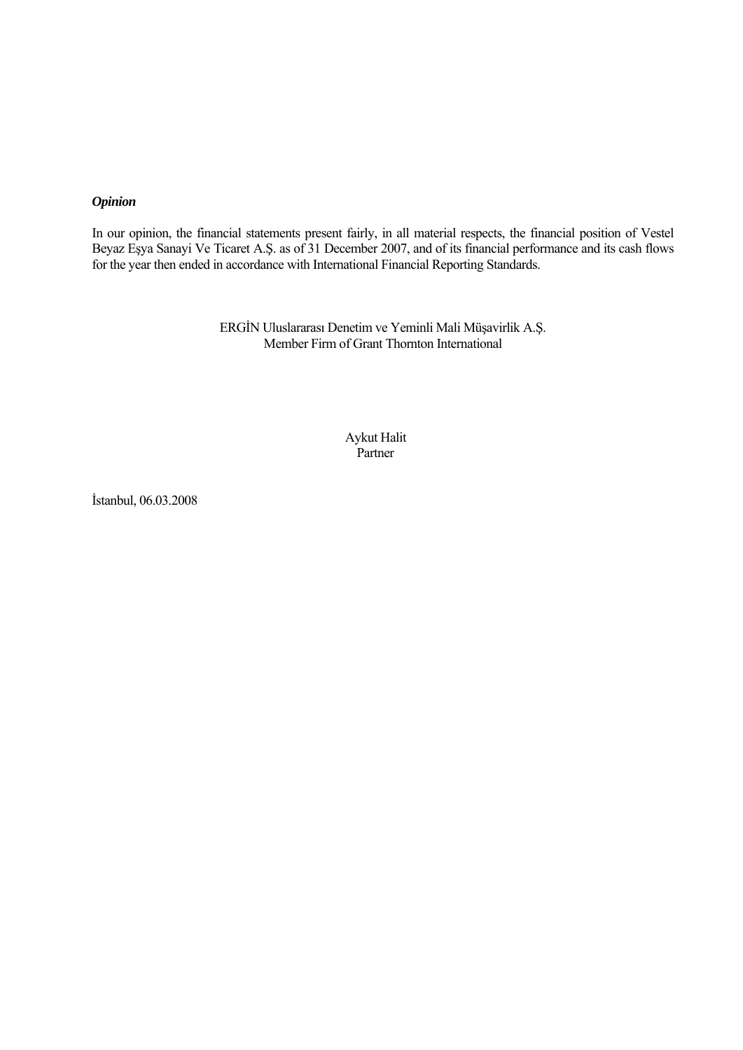# *Opinion*

In our opinion, the financial statements present fairly, in all material respects, the financial position of Vestel Beyaz Eşya Sanayi Ve Ticaret A.Ş. as of 31 December 2007, and of its financial performance and its cash flows for the year then ended in accordance with International Financial Reporting Standards.

> ERGİN Uluslararası Denetim ve Yeminli Mali Müşavirlik A.Ş. Member Firm of Grant Thornton International

> > Aykut Halit Partner

İstanbul, 06.03.2008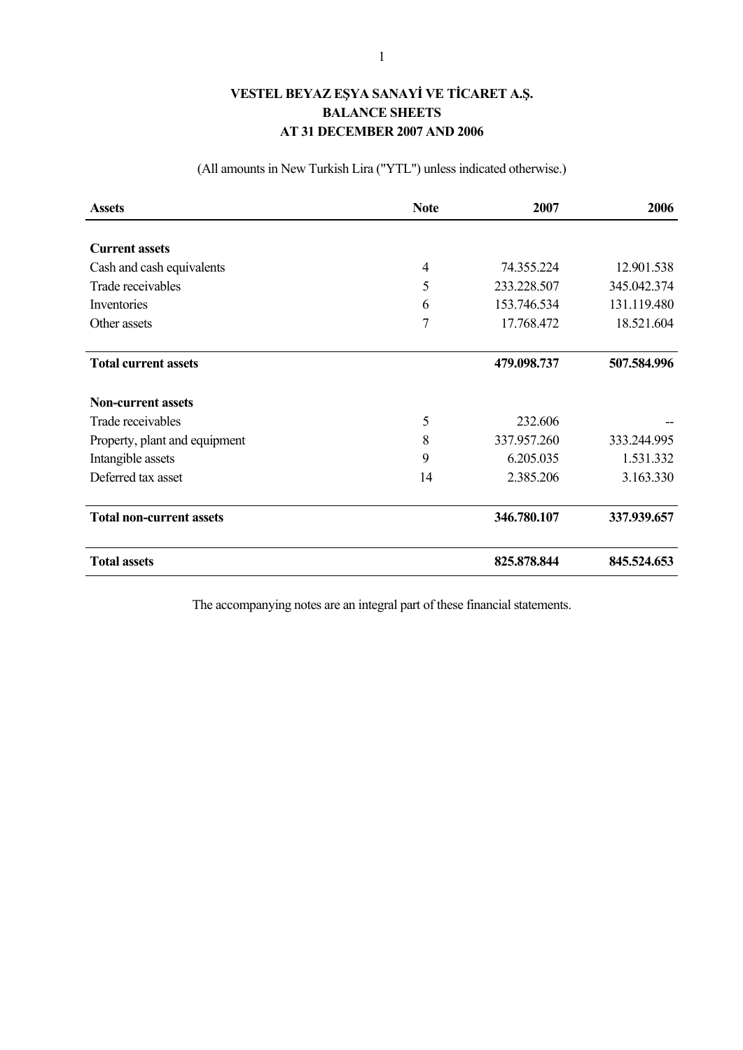# **VESTEL BEYAZ EŞYA SANAYİ VE TİCARET A.Ş. BALANCE SHEETS AT 31 DECEMBER 2007 AND 2006**

(All amounts in New Turkish Lira ("YTL") unless indicated otherwise.)

| <b>Assets</b>                   | <b>Note</b> | 2007        | 2006        |
|---------------------------------|-------------|-------------|-------------|
|                                 |             |             |             |
| <b>Current assets</b>           |             |             |             |
| Cash and cash equivalents       | 4           | 74.355.224  | 12.901.538  |
| Trade receivables               | 5           | 233.228.507 | 345.042.374 |
| Inventories                     | 6           | 153.746.534 | 131.119.480 |
| Other assets                    | 7           | 17.768.472  | 18.521.604  |
| <b>Total current assets</b>     |             | 479.098.737 | 507.584.996 |
| <b>Non-current assets</b>       |             |             |             |
| Trade receivables               | 5           | 232.606     |             |
| Property, plant and equipment   | 8           | 337.957.260 | 333.244.995 |
| Intangible assets               | 9           | 6.205.035   | 1.531.332   |
| Deferred tax asset              | 14          | 2.385.206   | 3.163.330   |
| <b>Total non-current assets</b> |             | 346.780.107 | 337.939.657 |
| <b>Total assets</b>             |             | 825.878.844 | 845.524.653 |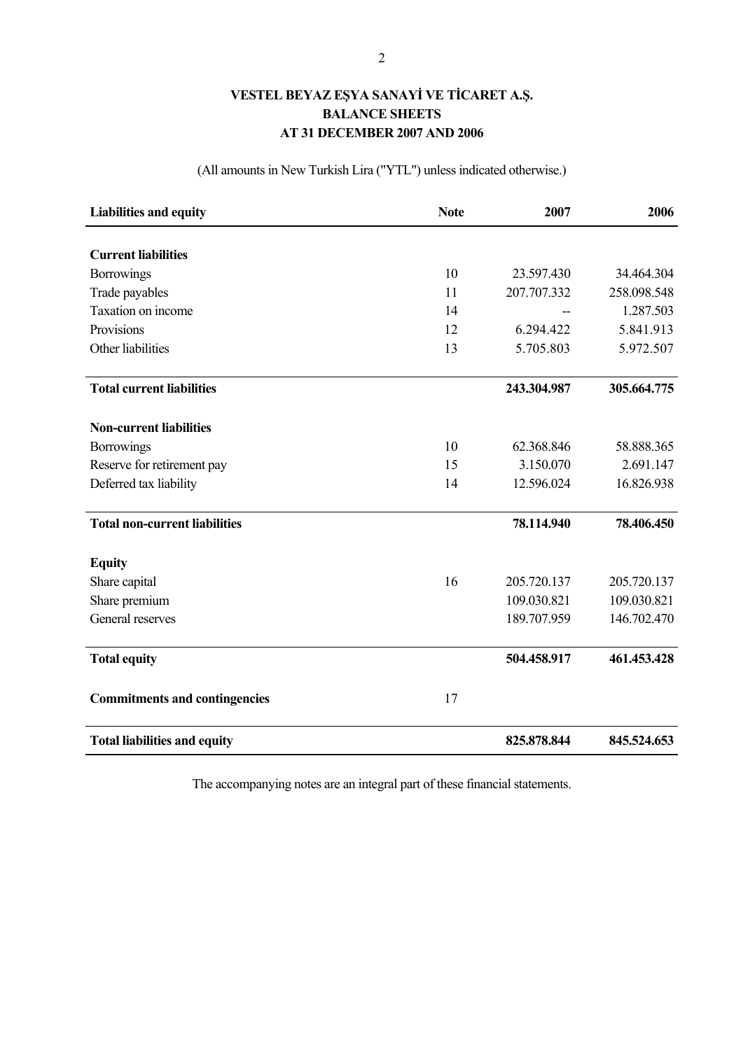# **VESTEL BEYAZ EŞYA SANAYİ VE TİCARET A.Ş. BALANCE SHEETS AT 31 DECEMBER 2007 AND 2006**

(All amounts in New Turkish Lira ("YTL") unless indicated otherwise.)

| <b>Liabilities and equity</b>        | <b>Note</b> | 2007        | 2006        |
|--------------------------------------|-------------|-------------|-------------|
|                                      |             |             |             |
| <b>Current liabilities</b>           |             |             |             |
| <b>Borrowings</b>                    | 10          | 23.597.430  | 34.464.304  |
| Trade payables                       | 11          | 207.707.332 | 258.098.548 |
| Taxation on income                   | 14          |             | 1.287.503   |
| Provisions                           | 12          | 6.294.422   | 5.841.913   |
| Other liabilities                    | 13          | 5.705.803   | 5.972.507   |
| <b>Total current liabilities</b>     |             | 243.304.987 | 305.664.775 |
| <b>Non-current liabilities</b>       |             |             |             |
| <b>Borrowings</b>                    | 10          | 62.368.846  | 58.888.365  |
| Reserve for retirement pay           | 15          | 3.150.070   | 2.691.147   |
| Deferred tax liability               | 14          | 12.596.024  | 16.826.938  |
| <b>Total non-current liabilities</b> |             | 78.114.940  | 78.406.450  |
| <b>Equity</b>                        |             |             |             |
| Share capital                        | 16          | 205.720.137 | 205.720.137 |
| Share premium                        |             | 109.030.821 | 109.030.821 |
| General reserves                     |             | 189.707.959 | 146.702.470 |
| <b>Total equity</b>                  |             | 504.458.917 | 461.453.428 |
| <b>Commitments and contingencies</b> | 17          |             |             |
| <b>Total liabilities and equity</b>  |             | 825.878.844 | 845.524.653 |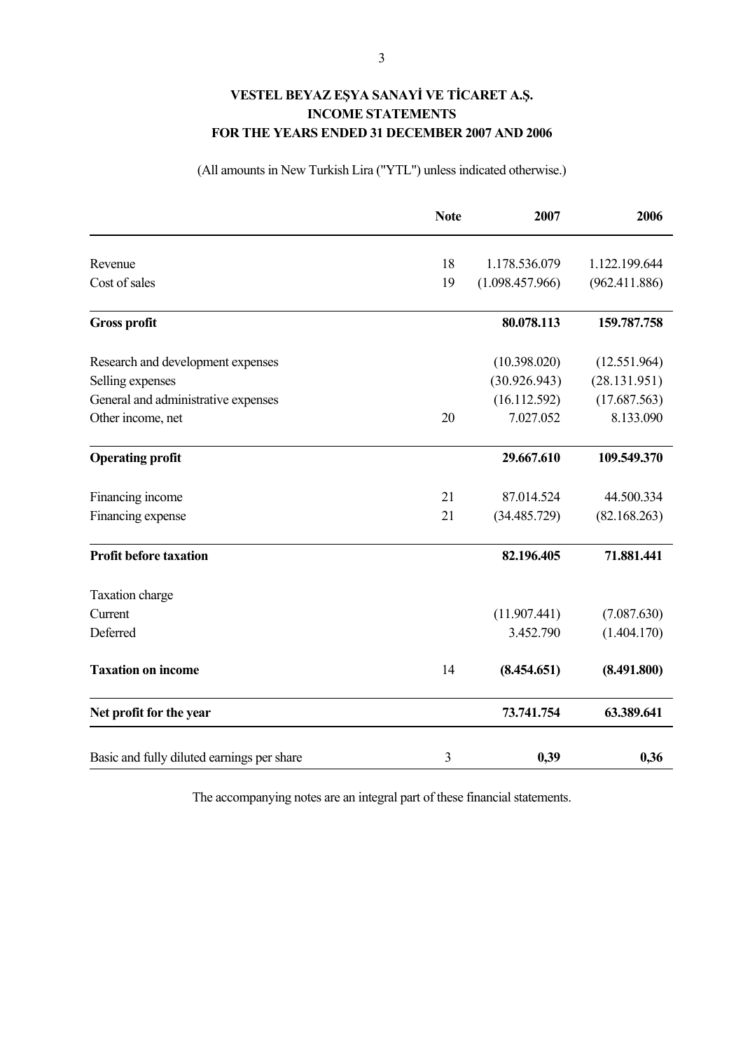# **VESTEL BEYAZ EŞYA SANAYİ VE TİCARET A.Ş. INCOME STATEMENTS FOR THE YEARS ENDED 31 DECEMBER 2007 AND 2006**

# (All amounts in New Turkish Lira ("YTL") unless indicated otherwise.)

|                                            | <b>Note</b> | 2007            | 2006          |
|--------------------------------------------|-------------|-----------------|---------------|
| Revenue                                    | 18          | 1.178.536.079   | 1.122.199.644 |
| Cost of sales                              | 19          | (1.098.457.966) | (962.411.886) |
| <b>Gross profit</b>                        |             | 80.078.113      | 159.787.758   |
| Research and development expenses          |             | (10.398.020)    | (12.551.964)  |
| Selling expenses                           |             | (30.926.943)    | (28.131.951)  |
| General and administrative expenses        |             | (16.112.592)    | (17.687.563)  |
| Other income, net                          | 20          | 7.027.052       | 8.133.090     |
| <b>Operating profit</b>                    |             | 29.667.610      | 109.549.370   |
| Financing income                           | 21          | 87.014.524      | 44.500.334    |
| Financing expense                          | 21          | (34.485.729)    | (82.168.263)  |
| <b>Profit before taxation</b>              |             | 82.196.405      | 71.881.441    |
| Taxation charge                            |             |                 |               |
| Current                                    |             | (11.907.441)    | (7.087.630)   |
| Deferred                                   |             | 3.452.790       | (1.404.170)   |
| <b>Taxation on income</b>                  | 14          | (8.454.651)     | (8.491.800)   |
| Net profit for the year                    |             | 73.741.754      | 63.389.641    |
| Basic and fully diluted earnings per share | 3           | 0,39            | 0,36          |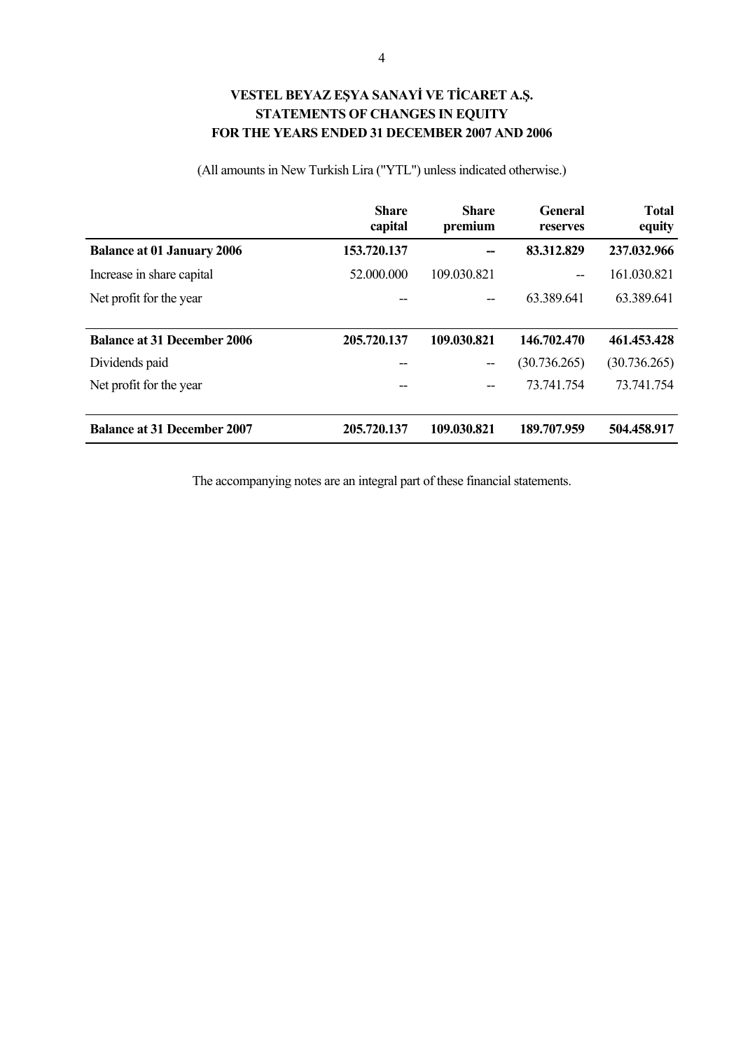# **VESTEL BEYAZ EŞYA SANAYİ VE TİCARET A.Ş. STATEMENTS OF CHANGES IN EQUITY FOR THE YEARS ENDED 31 DECEMBER 2007 AND 2006**

#### **Share capital Share premium General reserves Balance at 01 January 2006 153.720.137 -- 83.312.829 237.032.966**

Increase in share capital 52.000.000 109.030.821 -- 161.030.821 Net profit for the year -- 63.389.641 63.389.641

**Balance at 31 December 2006 205.720.137 109.030.821 146.702.470 461.453.428**  Dividends paid -- (30.736.265) (30.736.265)

**Total equity**

(All amounts in New Turkish Lira ("YTL") unless indicated otherwise.)

| <b>Balance at 31 December 2007</b> | 205.720.137 | 109.030.821 | 189.707.959 | 504.458.917 |
|------------------------------------|-------------|-------------|-------------|-------------|
| Net profit for the year            | $- -$       | $- -$       | 73 741 754  | 73.741.754  |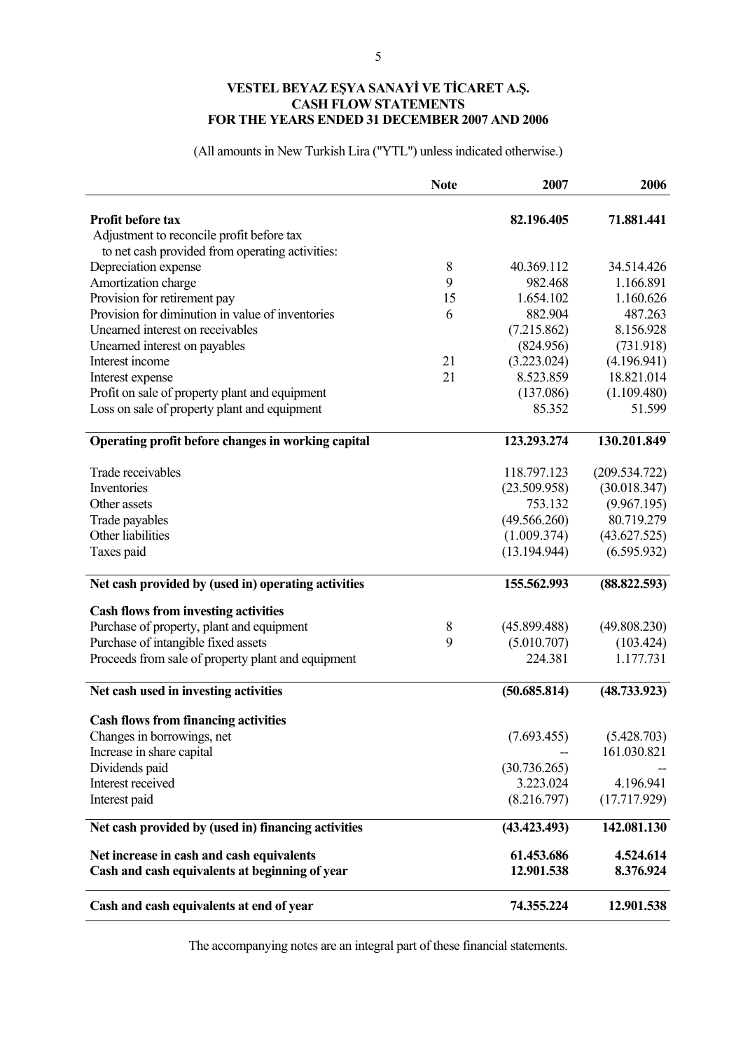# **VESTEL BEYAZ EŞYA SANAYİ VE TİCARET A.Ş. CASH FLOW STATEMENTS FOR THE YEARS ENDED 31 DECEMBER 2007 AND 2006**

(All amounts in New Turkish Lira ("YTL") unless indicated otherwise.)

|                                                     | <b>Note</b> | 2007         | 2006          |
|-----------------------------------------------------|-------------|--------------|---------------|
| <b>Profit before tax</b>                            |             | 82.196.405   | 71.881.441    |
| Adjustment to reconcile profit before tax           |             |              |               |
| to net cash provided from operating activities:     |             |              |               |
| Depreciation expense                                | 8           | 40.369.112   | 34.514.426    |
| Amortization charge                                 | 9           | 982.468      | 1.166.891     |
| Provision for retirement pay                        | 15          | 1.654.102    | 1.160.626     |
| Provision for diminution in value of inventories    | 6           | 882.904      | 487.263       |
| Unearned interest on receivables                    |             | (7.215.862)  | 8.156.928     |
| Unearned interest on payables                       |             | (824.956)    | (731.918)     |
| Interest income                                     | 21          | (3.223.024)  | (4.196.941)   |
| Interest expense                                    | 21          | 8.523.859    | 18.821.014    |
| Profit on sale of property plant and equipment      |             | (137.086)    | (1.109.480)   |
| Loss on sale of property plant and equipment        |             | 85.352       | 51.599        |
| Operating profit before changes in working capital  |             | 123.293.274  | 130.201.849   |
| Trade receivables                                   |             | 118.797.123  | (209.534.722) |
| Inventories                                         |             |              |               |
|                                                     |             | (23.509.958) | (30.018.347)  |
| Other assets                                        |             | 753.132      | (9.967.195)   |
| Trade payables<br>Other liabilities                 |             | (49.566.260) | 80.719.279    |
|                                                     |             | (1.009.374)  | (43.627.525)  |
| Taxes paid                                          |             | (13.194.944) | (6.595.932)   |
| Net cash provided by (used in) operating activities |             | 155.562.993  | (88.822.593)  |
| <b>Cash flows from investing activities</b>         |             |              |               |
| Purchase of property, plant and equipment           | 8           | (45.899.488) | (49.808.230)  |
| Purchase of intangible fixed assets                 | 9           | (5.010.707)  | (103.424)     |
| Proceeds from sale of property plant and equipment  |             | 224.381      | 1.177.731     |
| Net cash used in investing activities               |             | (50.685.814) | (48.733.923)  |
| <b>Cash flows from financing activities</b>         |             |              |               |
| Changes in borrowings, net                          |             | (7.693.455)  | (5.428.703)   |
| Increase in share capital                           |             |              | 161.030.821   |
| Dividends paid                                      |             | (30.736.265) |               |
| Interest received                                   |             | 3.223.024    | 4.196.941     |
| Interest paid                                       |             | (8.216.797)  | (17.717.929)  |
| Net cash provided by (used in) financing activities |             | (43.423.493) | 142.081.130   |
| Net increase in cash and cash equivalents           |             | 61.453.686   | 4.524.614     |
| Cash and cash equivalents at beginning of year      |             | 12.901.538   | 8.376.924     |
| Cash and cash equivalents at end of year            |             | 74.355.224   | 12.901.538    |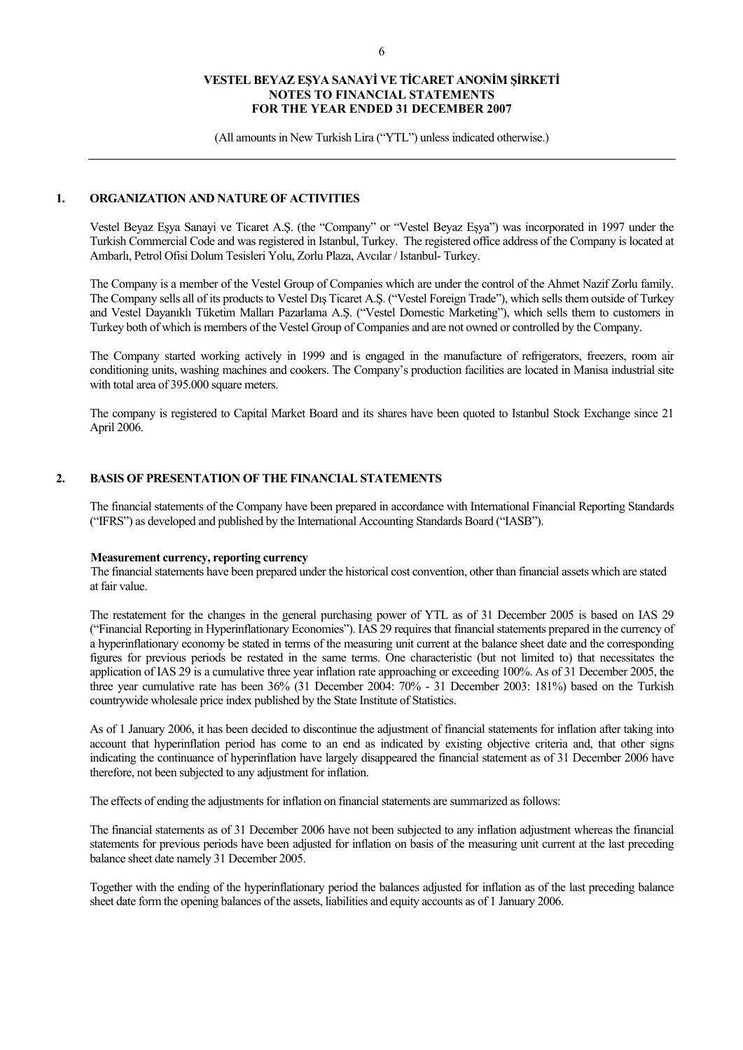(All amounts in New Turkish Lira ("YTL") unless indicated otherwise.)

### **1. ORGANIZATION AND NATURE OF ACTIVITIES**

Vestel Beyaz Eşya Sanayi ve Ticaret A.Ş. (the "Company" or "Vestel Beyaz Eşya") was incorporated in 1997 under the Turkish Commercial Code and was registered in Istanbul, Turkey. The registered office address of the Company is located at Ambarlı, Petrol Ofisi Dolum Tesisleri Yolu, Zorlu Plaza, Avcılar / Istanbul- Turkey.

The Company is a member of the Vestel Group of Companies which are under the control of the Ahmet Nazif Zorlu family. The Company sells all of its products to Vestel Dış Ticaret A.Ş. ("Vestel Foreign Trade"), which sells them outside of Turkey and Vestel Dayanıklı Tüketim Malları Pazarlama A.Ş. ("Vestel Domestic Marketing"), which sells them to customers in Turkey both of which is members of the Vestel Group of Companies and are not owned or controlled by the Company.

The Company started working actively in 1999 and is engaged in the manufacture of refrigerators, freezers, room air conditioning units, washing machines and cookers. The Company's production facilities are located in Manisa industrial site with total area of 395.000 square meters.

The company is registered to Capital Market Board and its shares have been quoted to Istanbul Stock Exchange since 21 April 2006.

### **2. BASIS OF PRESENTATION OF THE FINANCIAL STATEMENTS**

The financial statements of the Company have been prepared in accordance with International Financial Reporting Standards ("IFRS") as developed and published by the International Accounting Standards Board ("IASB").

# **Measurement currency, reporting currency**

The financial statements have been prepared under the historical cost convention, other than financial assets which are stated at fair value.

The restatement for the changes in the general purchasing power of YTL as of 31 December 2005 is based on IAS 29 ("Financial Reporting in Hyperinflationary Economies"). IAS 29 requires that financial statements prepared in the currency of a hyperinflationary economy be stated in terms of the measuring unit current at the balance sheet date and the corresponding figures for previous periods be restated in the same terms. One characteristic (but not limited to) that necessitates the application of IAS 29 is a cumulative three year inflation rate approaching or exceeding 100%. As of 31 December 2005, the three year cumulative rate has been 36% (31 December 2004: 70% - 31 December 2003: 181%) based on the Turkish countrywide wholesale price index published by the State Institute of Statistics.

As of 1 January 2006, it has been decided to discontinue the adjustment of financial statements for inflation after taking into account that hyperinflation period has come to an end as indicated by existing objective criteria and, that other signs indicating the continuance of hyperinflation have largely disappeared the financial statement as of 31 December 2006 have therefore, not been subjected to any adjustment for inflation.

The effects of ending the adjustments for inflation on financial statements are summarized as follows:

The financial statements as of 31 December 2006 have not been subjected to any inflation adjustment whereas the financial statements for previous periods have been adjusted for inflation on basis of the measuring unit current at the last preceding balance sheet date namely 31 December 2005.

Together with the ending of the hyperinflationary period the balances adjusted for inflation as of the last preceding balance sheet date form the opening balances of the assets, liabilities and equity accounts as of 1 January 2006.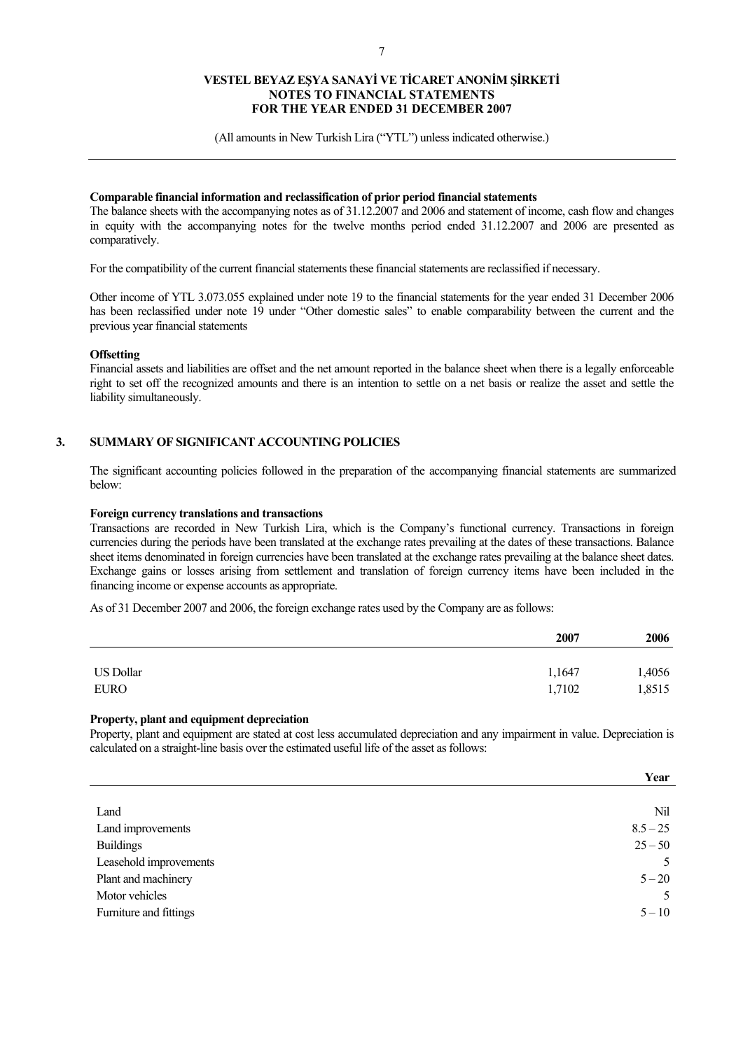(All amounts in New Turkish Lira ("YTL") unless indicated otherwise.)

### **Comparable financial information and reclassification of prior period financial statements**

The balance sheets with the accompanying notes as of 31.12.2007 and 2006 and statement of income, cash flow and changes in equity with the accompanying notes for the twelve months period ended 31.12.2007 and 2006 are presented as comparatively.

For the compatibility of the current financial statements these financial statements are reclassified if necessary.

Other income of YTL 3.073.055 explained under note 19 to the financial statements for the year ended 31 December 2006 has been reclassified under note 19 under "Other domestic sales" to enable comparability between the current and the previous year financial statements

### **Offsetting**

Financial assets and liabilities are offset and the net amount reported in the balance sheet when there is a legally enforceable right to set off the recognized amounts and there is an intention to settle on a net basis or realize the asset and settle the liability simultaneously.

### **3. SUMMARY OF SIGNIFICANT ACCOUNTING POLICIES**

The significant accounting policies followed in the preparation of the accompanying financial statements are summarized below:

### **Foreign currency translations and transactions**

Transactions are recorded in New Turkish Lira, which is the Company's functional currency. Transactions in foreign currencies during the periods have been translated at the exchange rates prevailing at the dates of these transactions. Balance sheet items denominated in foreign currencies have been translated at the exchange rates prevailing at the balance sheet dates. Exchange gains or losses arising from settlement and translation of foreign currency items have been included in the financing income or expense accounts as appropriate.

As of 31 December 2007 and 2006, the foreign exchange rates used by the Company are as follows:

|                  | 2007   | 2006   |
|------------------|--------|--------|
| <b>US Dollar</b> | 1,1647 | 1,4056 |
| <b>EURO</b>      | 1,7102 | 1,8515 |

### **Property, plant and equipment depreciation**

Property, plant and equipment are stated at cost less accumulated depreciation and any impairment in value. Depreciation is calculated on a straight-line basis over the estimated useful life of the asset as follows:

|                        | Year       |
|------------------------|------------|
|                        |            |
| Land                   | Nil        |
| Land improvements      | $8.5 - 25$ |
| <b>Buildings</b>       | $25 - 50$  |
| Leasehold improvements | 5          |
| Plant and machinery    | $5 - 20$   |
| Motor vehicles         | 5          |
| Furniture and fittings | $5 - 10$   |
|                        |            |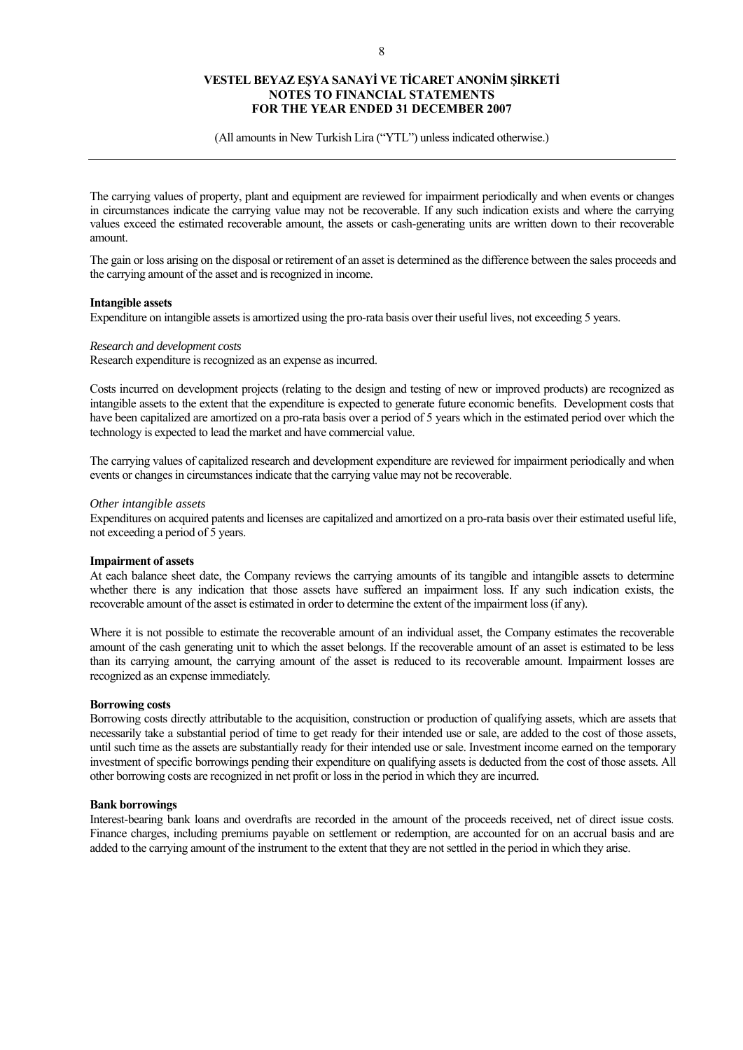(All amounts in New Turkish Lira ("YTL") unless indicated otherwise.)

The carrying values of property, plant and equipment are reviewed for impairment periodically and when events or changes in circumstances indicate the carrying value may not be recoverable. If any such indication exists and where the carrying values exceed the estimated recoverable amount, the assets or cash-generating units are written down to their recoverable amount.

The gain or loss arising on the disposal or retirement of an asset is determined as the difference between the sales proceeds and the carrying amount of the asset and is recognized in income.

#### **Intangible assets**

Expenditure on intangible assets is amortized using the pro-rata basis over their useful lives, not exceeding 5 years.

### *Research and development costs*

Research expenditure is recognized as an expense as incurred.

Costs incurred on development projects (relating to the design and testing of new or improved products) are recognized as intangible assets to the extent that the expenditure is expected to generate future economic benefits. Development costs that have been capitalized are amortized on a pro-rata basis over a period of 5 years which in the estimated period over which the technology is expected to lead the market and have commercial value.

The carrying values of capitalized research and development expenditure are reviewed for impairment periodically and when events or changes in circumstances indicate that the carrying value may not be recoverable.

#### *Other intangible assets*

Expenditures on acquired patents and licenses are capitalized and amortized on a pro-rata basis over their estimated useful life, not exceeding a period of 5 years.

#### **Impairment of assets**

At each balance sheet date, the Company reviews the carrying amounts of its tangible and intangible assets to determine whether there is any indication that those assets have suffered an impairment loss. If any such indication exists, the recoverable amount of the asset is estimated in order to determine the extent of the impairment loss (if any).

Where it is not possible to estimate the recoverable amount of an individual asset, the Company estimates the recoverable amount of the cash generating unit to which the asset belongs. If the recoverable amount of an asset is estimated to be less than its carrying amount, the carrying amount of the asset is reduced to its recoverable amount. Impairment losses are recognized as an expense immediately.

### **Borrowing costs**

Borrowing costs directly attributable to the acquisition, construction or production of qualifying assets, which are assets that necessarily take a substantial period of time to get ready for their intended use or sale, are added to the cost of those assets, until such time as the assets are substantially ready for their intended use or sale. Investment income earned on the temporary investment of specific borrowings pending their expenditure on qualifying assets is deducted from the cost of those assets. All other borrowing costs are recognized in net profit or loss in the period in which they are incurred.

### **Bank borrowings**

Interest-bearing bank loans and overdrafts are recorded in the amount of the proceeds received, net of direct issue costs. Finance charges, including premiums payable on settlement or redemption, are accounted for on an accrual basis and are added to the carrying amount of the instrument to the extent that they are not settled in the period in which they arise.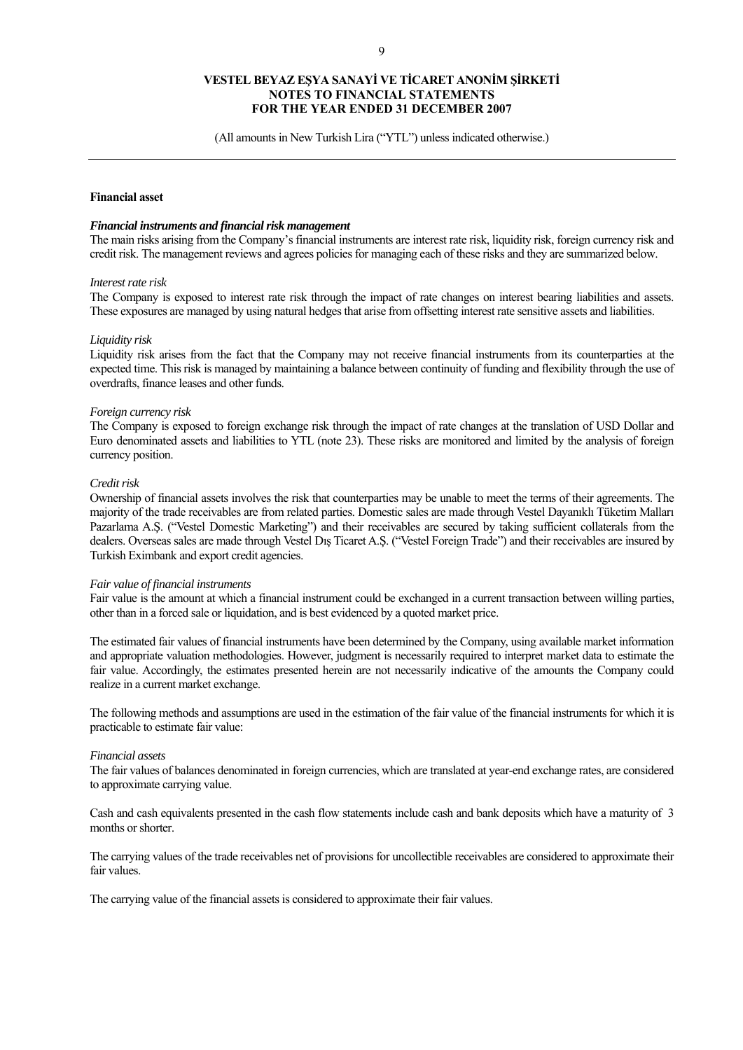(All amounts in New Turkish Lira ("YTL") unless indicated otherwise.)

### **Financial asset**

#### *Financial instruments and financial risk management*

The main risks arising from the Company's financial instruments are interest rate risk, liquidity risk, foreign currency risk and credit risk. The management reviews and agrees policies for managing each of these risks and they are summarized below.

#### *Interest rate risk*

The Company is exposed to interest rate risk through the impact of rate changes on interest bearing liabilities and assets. These exposures are managed by using natural hedges that arise from offsetting interest rate sensitive assets and liabilities.

#### *Liquidity risk*

Liquidity risk arises from the fact that the Company may not receive financial instruments from its counterparties at the expected time. This risk is managed by maintaining a balance between continuity of funding and flexibility through the use of overdrafts, finance leases and other funds.

#### *Foreign currency risk*

The Company is exposed to foreign exchange risk through the impact of rate changes at the translation of USD Dollar and Euro denominated assets and liabilities to YTL (note 23). These risks are monitored and limited by the analysis of foreign currency position.

#### *Credit risk*

Ownership of financial assets involves the risk that counterparties may be unable to meet the terms of their agreements. The majority of the trade receivables are from related parties. Domestic sales are made through Vestel Dayanıklı Tüketim Malları Pazarlama A.Ş. ("Vestel Domestic Marketing") and their receivables are secured by taking sufficient collaterals from the dealers. Overseas sales are made through Vestel Dış Ticaret A.Ş. ("Vestel Foreign Trade") and their receivables are insured by Turkish Eximbank and export credit agencies.

#### *Fair value of financial instruments*

Fair value is the amount at which a financial instrument could be exchanged in a current transaction between willing parties, other than in a forced sale or liquidation, and is best evidenced by a quoted market price.

The estimated fair values of financial instruments have been determined by the Company, using available market information and appropriate valuation methodologies. However, judgment is necessarily required to interpret market data to estimate the fair value. Accordingly, the estimates presented herein are not necessarily indicative of the amounts the Company could realize in a current market exchange.

The following methods and assumptions are used in the estimation of the fair value of the financial instruments for which it is practicable to estimate fair value:

#### *Financial assets*

The fair values of balances denominated in foreign currencies, which are translated at year-end exchange rates, are considered to approximate carrying value.

Cash and cash equivalents presented in the cash flow statements include cash and bank deposits which have a maturity of 3 months or shorter.

The carrying values of the trade receivables net of provisions for uncollectible receivables are considered to approximate their fair values.

The carrying value of the financial assets is considered to approximate their fair values.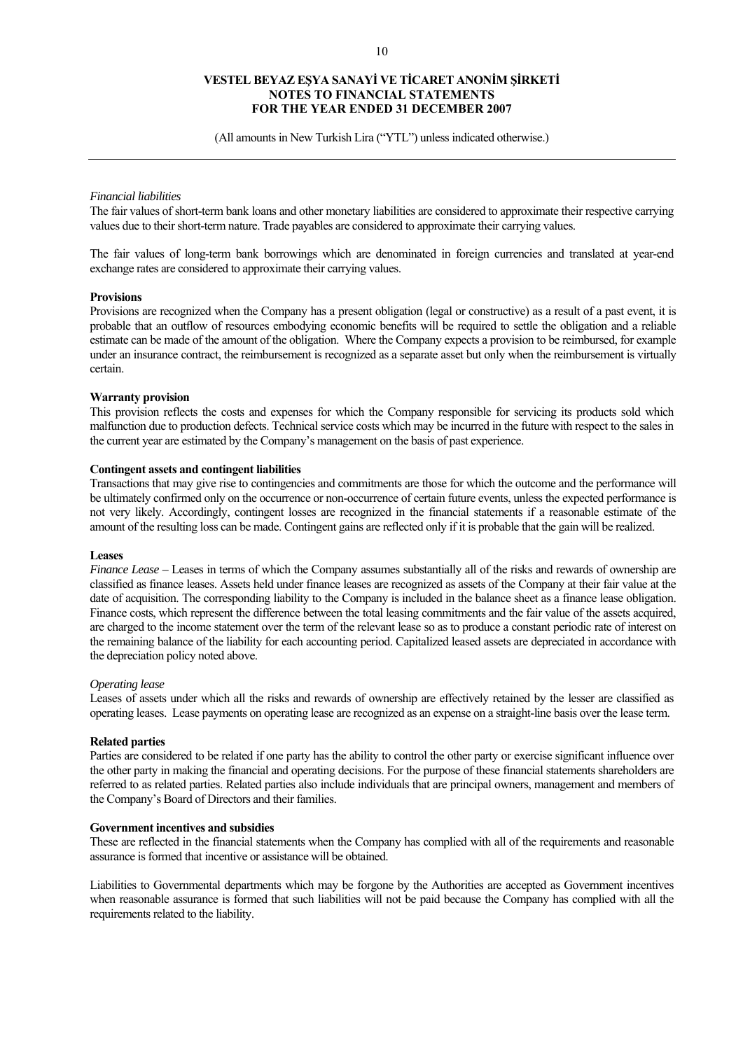(All amounts in New Turkish Lira ("YTL") unless indicated otherwise.)

#### *Financial liabilities*

The fair values of short-term bank loans and other monetary liabilities are considered to approximate their respective carrying values due to their short-term nature. Trade payables are considered to approximate their carrying values.

The fair values of long-term bank borrowings which are denominated in foreign currencies and translated at year-end exchange rates are considered to approximate their carrying values.

#### **Provisions**

Provisions are recognized when the Company has a present obligation (legal or constructive) as a result of a past event, it is probable that an outflow of resources embodying economic benefits will be required to settle the obligation and a reliable estimate can be made of the amount of the obligation. Where the Company expects a provision to be reimbursed, for example under an insurance contract, the reimbursement is recognized as a separate asset but only when the reimbursement is virtually certain.

#### **Warranty provision**

This provision reflects the costs and expenses for which the Company responsible for servicing its products sold which malfunction due to production defects. Technical service costs which may be incurred in the future with respect to the sales in the current year are estimated by the Company's management on the basis of past experience.

### **Contingent assets and contingent liabilities**

Transactions that may give rise to contingencies and commitments are those for which the outcome and the performance will be ultimately confirmed only on the occurrence or non-occurrence of certain future events, unless the expected performance is not very likely. Accordingly, contingent losses are recognized in the financial statements if a reasonable estimate of the amount of the resulting loss can be made. Contingent gains are reflected only if it is probable that the gain will be realized.

#### **Leases**

*Finance Lease –* Leases in terms of which the Company assumes substantially all of the risks and rewards of ownership are classified as finance leases. Assets held under finance leases are recognized as assets of the Company at their fair value at the date of acquisition. The corresponding liability to the Company is included in the balance sheet as a finance lease obligation. Finance costs, which represent the difference between the total leasing commitments and the fair value of the assets acquired, are charged to the income statement over the term of the relevant lease so as to produce a constant periodic rate of interest on the remaining balance of the liability for each accounting period. Capitalized leased assets are depreciated in accordance with the depreciation policy noted above.

#### *Operating lease*

Leases of assets under which all the risks and rewards of ownership are effectively retained by the lesser are classified as operating leases. Lease payments on operating lease are recognized as an expense on a straight-line basis over the lease term.

### **Related parties**

Parties are considered to be related if one party has the ability to control the other party or exercise significant influence over the other party in making the financial and operating decisions. For the purpose of these financial statements shareholders are referred to as related parties. Related parties also include individuals that are principal owners, management and members of the Company's Board of Directors and their families.

#### **Government incentives and subsidies**

These are reflected in the financial statements when the Company has complied with all of the requirements and reasonable assurance is formed that incentive or assistance will be obtained.

Liabilities to Governmental departments which may be forgone by the Authorities are accepted as Government incentives when reasonable assurance is formed that such liabilities will not be paid because the Company has complied with all the requirements related to the liability.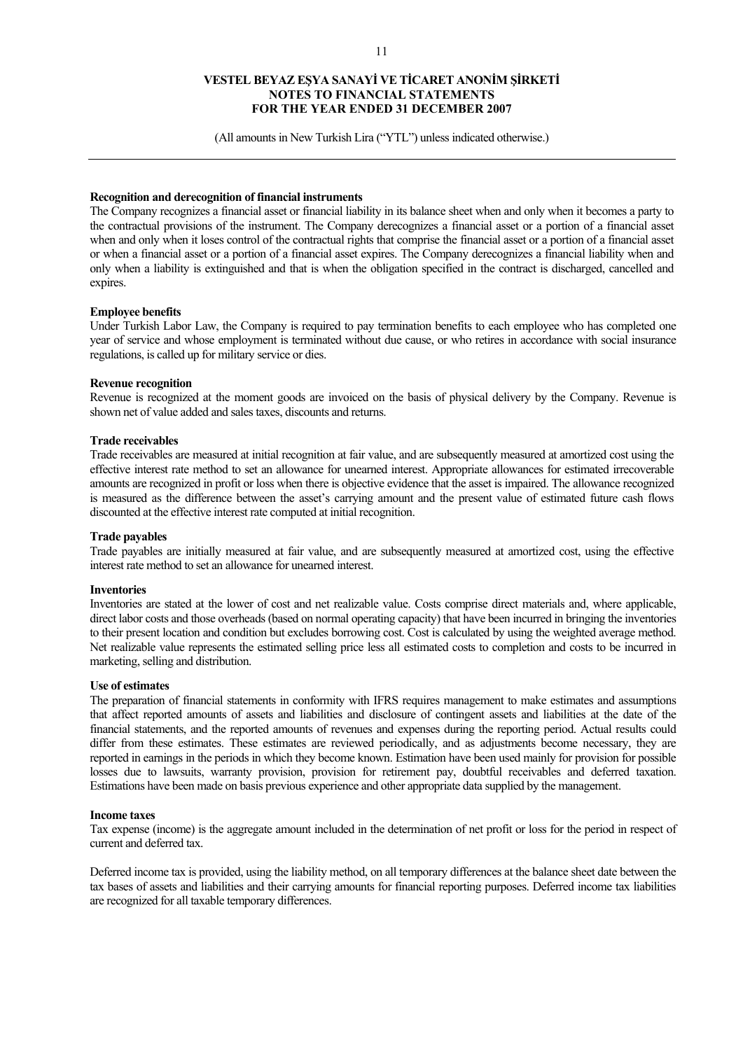(All amounts in New Turkish Lira ("YTL") unless indicated otherwise.)

### **Recognition and derecognition of financial instruments**

The Company recognizes a financial asset or financial liability in its balance sheet when and only when it becomes a party to the contractual provisions of the instrument. The Company derecognizes a financial asset or a portion of a financial asset when and only when it loses control of the contractual rights that comprise the financial asset or a portion of a financial asset or when a financial asset or a portion of a financial asset expires. The Company derecognizes a financial liability when and only when a liability is extinguished and that is when the obligation specified in the contract is discharged, cancelled and expires.

#### **Employee benefits**

Under Turkish Labor Law, the Company is required to pay termination benefits to each employee who has completed one year of service and whose employment is terminated without due cause, or who retires in accordance with social insurance regulations, is called up for military service or dies.

#### **Revenue recognition**

Revenue is recognized at the moment goods are invoiced on the basis of physical delivery by the Company. Revenue is shown net of value added and sales taxes, discounts and returns.

#### **Trade receivables**

Trade receivables are measured at initial recognition at fair value, and are subsequently measured at amortized cost using the effective interest rate method to set an allowance for unearned interest. Appropriate allowances for estimated irrecoverable amounts are recognized in profit or loss when there is objective evidence that the asset is impaired. The allowance recognized is measured as the difference between the asset's carrying amount and the present value of estimated future cash flows discounted at the effective interest rate computed at initial recognition.

#### **Trade payables**

Trade payables are initially measured at fair value, and are subsequently measured at amortized cost, using the effective interest rate method to set an allowance for unearned interest.

#### **Inventories**

Inventories are stated at the lower of cost and net realizable value. Costs comprise direct materials and, where applicable, direct labor costs and those overheads (based on normal operating capacity) that have been incurred in bringing the inventories to their present location and condition but excludes borrowing cost. Cost is calculated by using the weighted average method. Net realizable value represents the estimated selling price less all estimated costs to completion and costs to be incurred in marketing, selling and distribution.

#### **Use of estimates**

The preparation of financial statements in conformity with IFRS requires management to make estimates and assumptions that affect reported amounts of assets and liabilities and disclosure of contingent assets and liabilities at the date of the financial statements, and the reported amounts of revenues and expenses during the reporting period. Actual results could differ from these estimates. These estimates are reviewed periodically, and as adjustments become necessary, they are reported in earnings in the periods in which they become known. Estimation have been used mainly for provision for possible losses due to lawsuits, warranty provision, provision for retirement pay, doubtful receivables and deferred taxation. Estimations have been made on basis previous experience and other appropriate data supplied by the management.

#### **Income taxes**

Tax expense (income) is the aggregate amount included in the determination of net profit or loss for the period in respect of current and deferred tax.

Deferred income tax is provided, using the liability method, on all temporary differences at the balance sheet date between the tax bases of assets and liabilities and their carrying amounts for financial reporting purposes. Deferred income tax liabilities are recognized for all taxable temporary differences.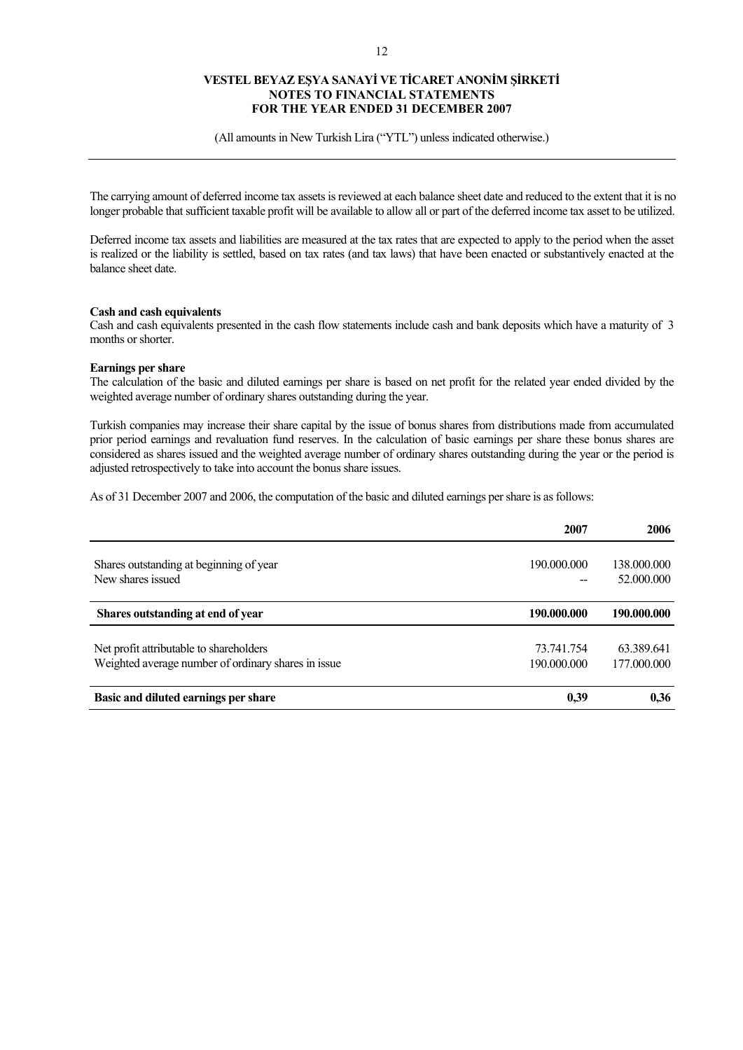(All amounts in New Turkish Lira ("YTL") unless indicated otherwise.)

The carrying amount of deferred income tax assets is reviewed at each balance sheet date and reduced to the extent that it is no longer probable that sufficient taxable profit will be available to allow all or part of the deferred income tax asset to be utilized.

Deferred income tax assets and liabilities are measured at the tax rates that are expected to apply to the period when the asset is realized or the liability is settled, based on tax rates (and tax laws) that have been enacted or substantively enacted at the balance sheet date.

### **Cash and cash equivalents**

Cash and cash equivalents presented in the cash flow statements include cash and bank deposits which have a maturity of 3 months or shorter.

### **Earnings per share**

The calculation of the basic and diluted earnings per share is based on net profit for the related year ended divided by the weighted average number of ordinary shares outstanding during the year.

Turkish companies may increase their share capital by the issue of bonus shares from distributions made from accumulated prior period earnings and revaluation fund reserves. In the calculation of basic earnings per share these bonus shares are considered as shares issued and the weighted average number of ordinary shares outstanding during the year or the period is adjusted retrospectively to take into account the bonus share issues.

As of 31 December 2007 and 2006, the computation of the basic and diluted earnings per share is as follows:

|                                                     | 2007        | 2006        |
|-----------------------------------------------------|-------------|-------------|
|                                                     |             |             |
| Shares outstanding at beginning of year             | 190.000.000 | 138.000.000 |
| New shares issued                                   |             | 52,000,000  |
| Shares outstanding at end of year                   | 190.000.000 | 190.000.000 |
| Net profit attributable to shareholders             | 73.741.754  | 63.389.641  |
| Weighted average number of ordinary shares in issue | 190.000.000 | 177.000.000 |
| Basic and diluted earnings per share                | 0,39        | 0.36        |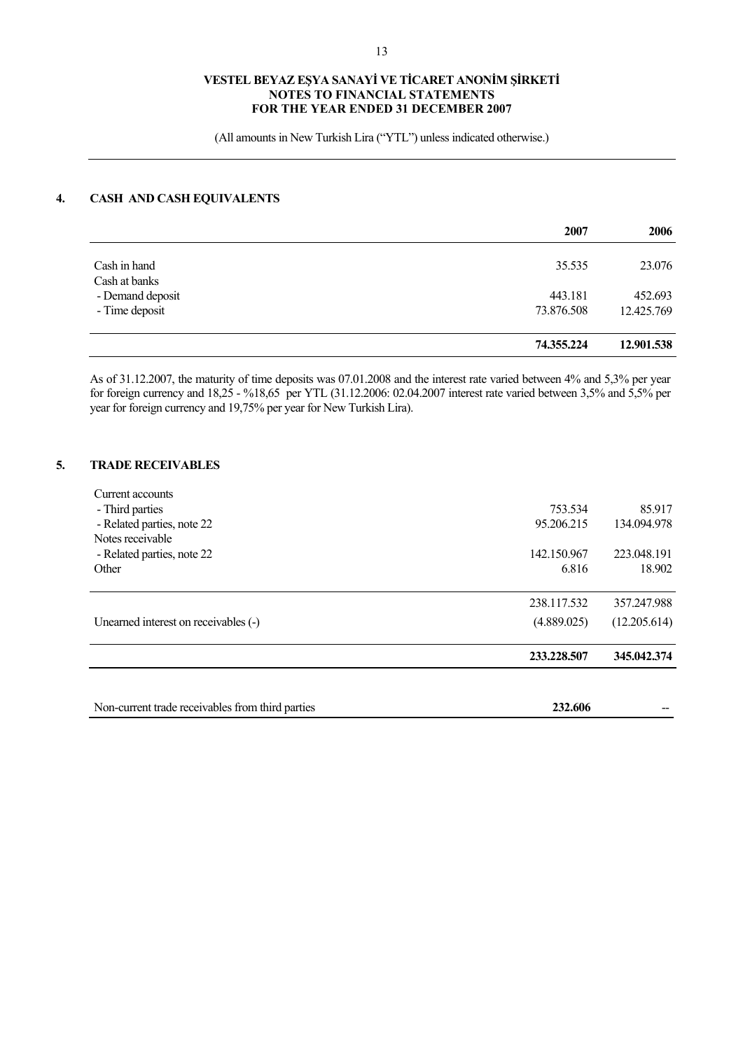(All amounts in New Turkish Lira ("YTL") unless indicated otherwise.)

# **4. CASH AND CASH EQUIVALENTS**

|                                    | 2007                  | 2006                  |
|------------------------------------|-----------------------|-----------------------|
| Cash in hand<br>Cash at banks      | 35.535                | 23.076                |
| - Demand deposit<br>- Time deposit | 443.181<br>73.876.508 | 452.693<br>12.425.769 |
|                                    |                       |                       |
|                                    | 74.355.224            | 12.901.538            |

As of 31.12.2007, the maturity of time deposits was 07.01.2008 and the interest rate varied between 4% and 5,3% per year for foreign currency and 18,25 - %18,65 per YTL (31.12.2006: 02.04.2007 interest rate varied between 3,5% and 5,5% per year for foreign currency and 19,75% per year for New Turkish Lira).

### **5. TRADE RECEIVABLES**

| Non-current trade receivables from third parties | 232.606     |              |
|--------------------------------------------------|-------------|--------------|
|                                                  | 233.228.507 | 345.042.374  |
| Unearned interest on receivables (-)             | (4.889.025) | (12.205.614) |
|                                                  | 238.117.532 | 357.247.988  |
| Other                                            | 6.816       | 18.902       |
| - Related parties, note 22                       | 142.150.967 | 223.048.191  |
| Notes receivable                                 |             |              |
| - Related parties, note 22                       | 95.206.215  | 134.094.978  |
| - Third parties                                  | 753.534     | 85.917       |
| Current accounts                                 |             |              |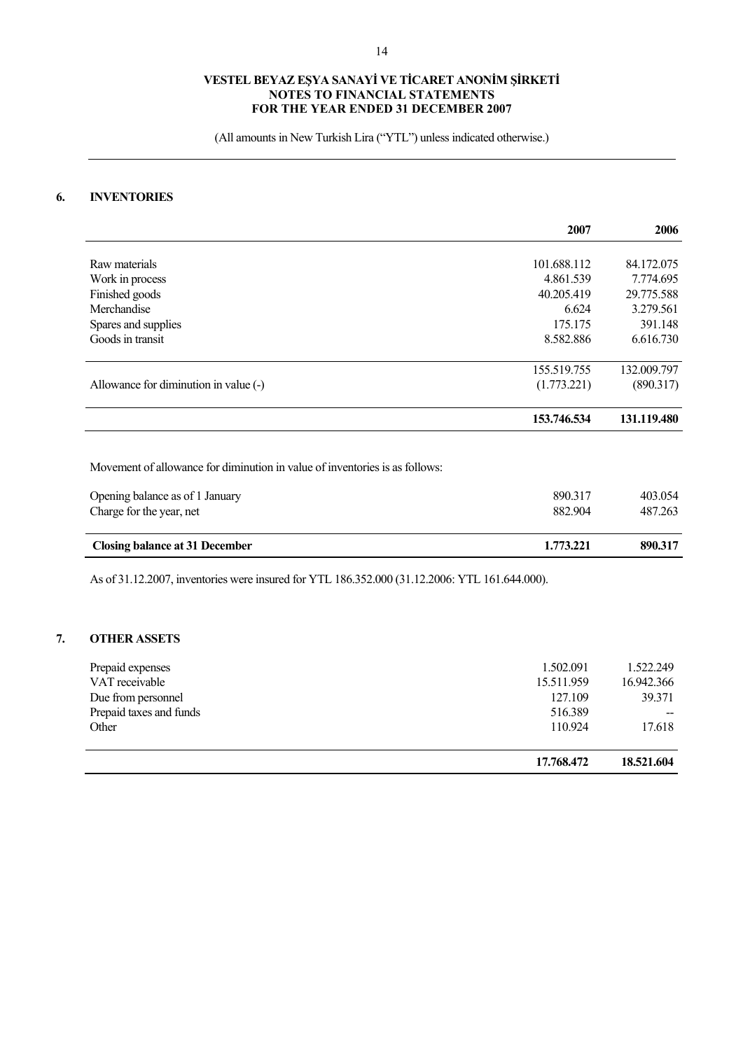(All amounts in New Turkish Lira ("YTL") unless indicated otherwise.)

# **6. INVENTORIES**

|                                                                             | 2007        | 2006        |
|-----------------------------------------------------------------------------|-------------|-------------|
|                                                                             |             |             |
| Raw materials                                                               | 101.688.112 | 84.172.075  |
| Work in process                                                             | 4.861.539   | 7.774.695   |
| Finished goods                                                              | 40.205.419  | 29.775.588  |
| Merchandise                                                                 | 6.624       | 3.279.561   |
| Spares and supplies                                                         | 175.175     | 391.148     |
| Goods in transit                                                            | 8.582.886   | 6.616.730   |
|                                                                             | 155.519.755 | 132.009.797 |
| Allowance for diminution in value (-)                                       | (1.773.221) | (890.317)   |
|                                                                             | 153.746.534 | 131.119.480 |
|                                                                             |             |             |
| Movement of allowance for diminution in value of inventories is as follows: |             |             |
| Opening balance as of 1 January                                             | 890.317     | 403.054     |

| Closing balance at 31 December  | 1.773.221 | 890.317 |
|---------------------------------|-----------|---------|
| Charge for the year, net        | 882.904   | 487.263 |
| Opening balance as of 1 January | 890.31    | 403.054 |

As of 31.12.2007, inventories were insured for YTL 186.352.000 (31.12.2006: YTL 161.644.000).

# **7. OTHER ASSETS**

| 1.502.091<br>Prepaid expenses<br>VAT receivable<br>15.511.959<br>127.109<br>Due from personnel<br>Prepaid taxes and funds<br>516.389<br>110.924<br>Other | 17.768.472 | 18.521.604 |
|----------------------------------------------------------------------------------------------------------------------------------------------------------|------------|------------|
|                                                                                                                                                          |            | 17.618     |
|                                                                                                                                                          |            |            |
|                                                                                                                                                          |            | 39.371     |
|                                                                                                                                                          |            | 16.942.366 |
|                                                                                                                                                          |            | 1.522.249  |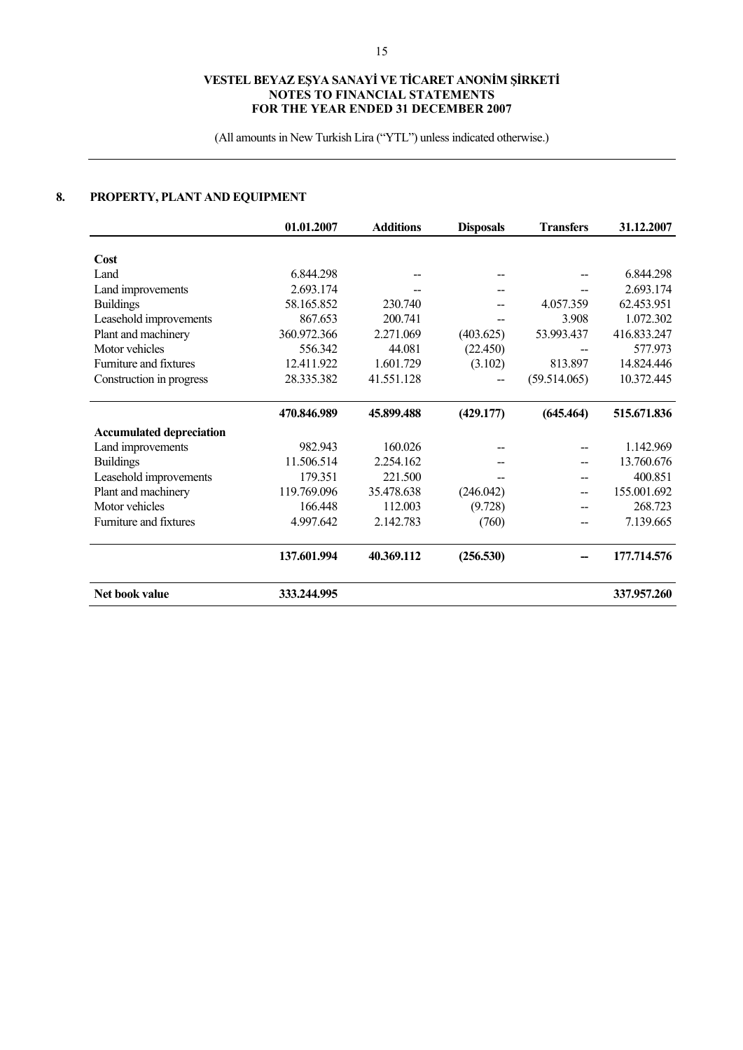(All amounts in New Turkish Lira ("YTL") unless indicated otherwise.)

# **8. PROPERTY, PLANT AND EQUIPMENT**

|                                 | 01.01.2007  | <b>Additions</b> | <b>Disposals</b> | <b>Transfers</b> | 31.12.2007  |
|---------------------------------|-------------|------------------|------------------|------------------|-------------|
|                                 |             |                  |                  |                  |             |
| Cost                            |             |                  |                  |                  |             |
| Land                            | 6.844.298   |                  |                  |                  | 6.844.298   |
| Land improvements               | 2.693.174   |                  |                  |                  | 2.693.174   |
| <b>Buildings</b>                | 58.165.852  | 230.740          |                  | 4.057.359        | 62.453.951  |
| Leasehold improvements          | 867.653     | 200.741          |                  | 3.908            | 1.072.302   |
| Plant and machinery             | 360.972.366 | 2.271.069        | (403.625)        | 53.993.437       | 416.833.247 |
| Motor vehicles                  | 556.342     | 44.081           | (22.450)         |                  | 577.973     |
| Furniture and fixtures          | 12.411.922  | 1.601.729        | (3.102)          | 813.897          | 14.824.446  |
| Construction in progress        | 28.335.382  | 41.551.128       | --               | (59.514.065)     | 10.372.445  |
|                                 |             |                  |                  |                  |             |
|                                 | 470.846.989 | 45.899.488       | (429.177)        | (645.464)        | 515.671.836 |
| <b>Accumulated depreciation</b> |             |                  |                  |                  |             |
| Land improvements               | 982.943     | 160.026          |                  |                  | 1.142.969   |
| <b>Buildings</b>                | 11.506.514  | 2.254.162        |                  |                  | 13.760.676  |
| Leasehold improvements          | 179.351     | 221.500          |                  |                  | 400.851     |
| Plant and machinery             | 119.769.096 | 35.478.638       | (246.042)        | --               | 155.001.692 |
| Motor vehicles                  | 166.448     | 112.003          | (9.728)          |                  | 268.723     |
| Furniture and fixtures          | 4.997.642   | 2.142.783        | (760)            | --               | 7.139.665   |
|                                 | 137.601.994 | 40.369.112       | (256.530)        |                  | 177.714.576 |
| Net book value                  | 333.244.995 |                  |                  |                  | 337.957.260 |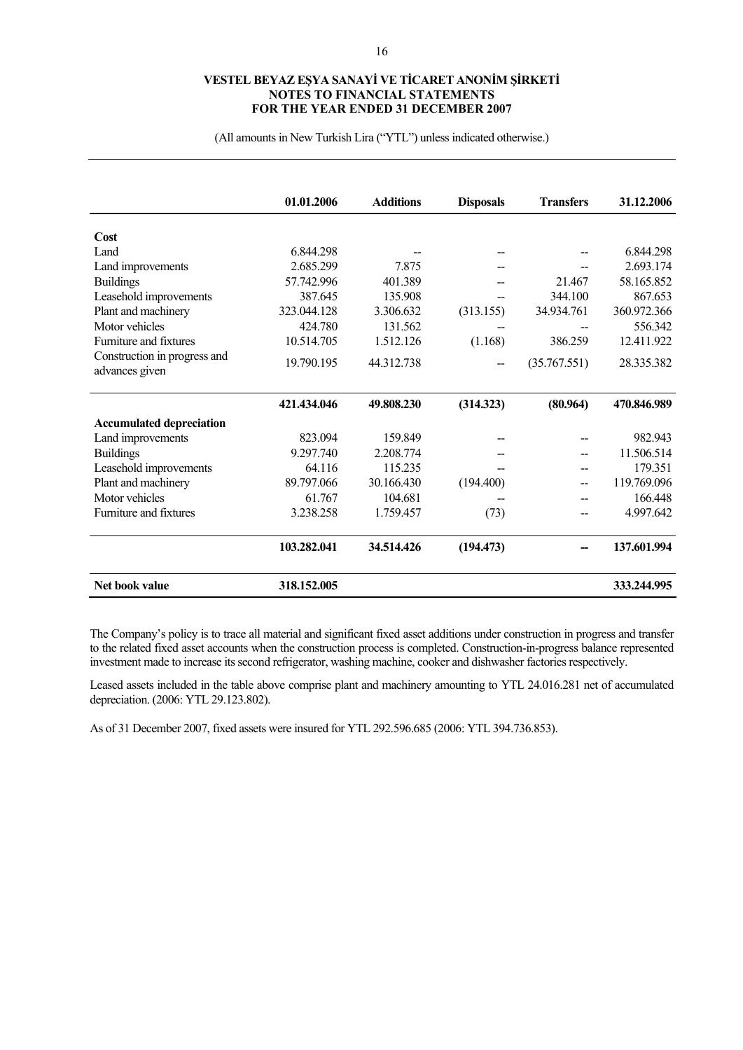(All amounts in New Turkish Lira ("YTL") unless indicated otherwise.)

|                                                | 01.01.2006  | <b>Additions</b> | <b>Disposals</b> | <b>Transfers</b> | 31.12.2006  |
|------------------------------------------------|-------------|------------------|------------------|------------------|-------------|
| Cost                                           |             |                  |                  |                  |             |
| Land                                           | 6.844.298   |                  |                  |                  | 6.844.298   |
| Land improvements                              | 2.685.299   | 7.875            |                  |                  | 2.693.174   |
| <b>Buildings</b>                               | 57.742.996  | 401.389          |                  | 21.467           | 58.165.852  |
| Leasehold improvements                         | 387.645     | 135.908          |                  | 344.100          | 867.653     |
| Plant and machinery                            | 323.044.128 | 3.306.632        | (313.155)        | 34.934.761       | 360.972.366 |
| Motor vehicles                                 | 424.780     | 131.562          |                  |                  | 556.342     |
| Furniture and fixtures                         | 10.514.705  | 1.512.126        | (1.168)          | 386.259          | 12.411.922  |
| Construction in progress and<br>advances given | 19.790.195  | 44.312.738       |                  | (35.767.551)     | 28.335.382  |
|                                                | 421.434.046 | 49.808.230       | (314.323)        | (80.964)         | 470.846.989 |
| <b>Accumulated depreciation</b>                |             |                  |                  |                  |             |
| Land improvements                              | 823.094     | 159.849          |                  |                  | 982.943     |
| <b>Buildings</b>                               | 9.297.740   | 2.208.774        |                  |                  | 11.506.514  |
| Leasehold improvements                         | 64.116      | 115.235          |                  |                  | 179.351     |
| Plant and machinery                            | 89.797.066  | 30.166.430       | (194.400)        |                  | 119.769.096 |
| Motor vehicles                                 | 61.767      | 104.681          |                  |                  | 166.448     |
| Furniture and fixtures                         | 3.238.258   | 1.759.457        | (73)             |                  | 4.997.642   |
|                                                | 103.282.041 | 34.514.426       | (194.473)        |                  | 137.601.994 |
| Net book value                                 | 318.152.005 |                  |                  |                  | 333.244.995 |

The Company's policy is to trace all material and significant fixed asset additions under construction in progress and transfer to the related fixed asset accounts when the construction process is completed. Construction-in-progress balance represented investment made to increase its second refrigerator, washing machine, cooker and dishwasher factories respectively.

Leased assets included in the table above comprise plant and machinery amounting to YTL 24.016.281 net of accumulated depreciation. (2006: YTL 29.123.802).

As of 31 December 2007, fixed assets were insured for YTL 292.596.685 (2006: YTL 394.736.853).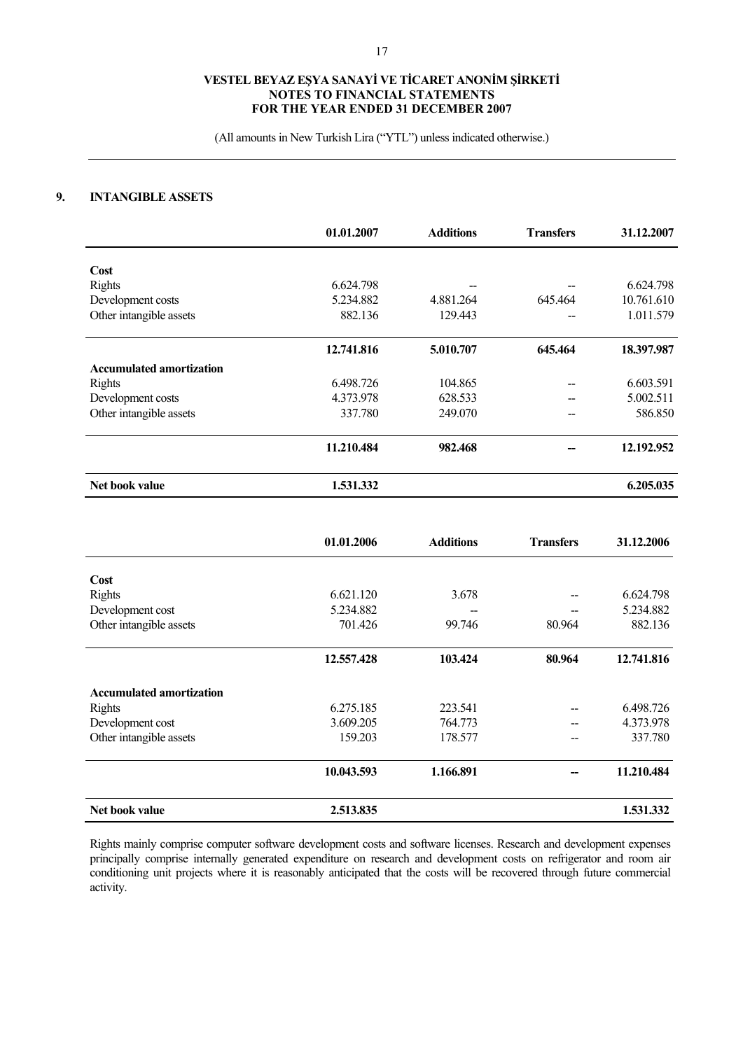(All amounts in New Turkish Lira ("YTL") unless indicated otherwise.)

### **9. INTANGIBLE ASSETS**

|                                 | 01.01.2007 | <b>Additions</b> | <b>Transfers</b> | 31.12.2007 |
|---------------------------------|------------|------------------|------------------|------------|
| Cost                            |            |                  |                  |            |
| <b>Rights</b>                   | 6.624.798  |                  |                  | 6.624.798  |
| Development costs               | 5.234.882  | 4.881.264        | 645.464          | 10.761.610 |
| Other intangible assets         | 882.136    | 129.443          |                  | 1.011.579  |
|                                 | 12.741.816 | 5.010.707        | 645.464          | 18.397.987 |
| <b>Accumulated amortization</b> |            |                  |                  |            |
| <b>Rights</b>                   | 6.498.726  | 104.865          |                  | 6.603.591  |
| Development costs               | 4.373.978  | 628.533          |                  | 5.002.511  |
| Other intangible assets         | 337.780    | 249,070          |                  | 586.850    |
|                                 | 11.210.484 | 982.468          |                  | 12.192.952 |
| Net book value                  | 1.531.332  |                  |                  | 6.205.035  |

|                                 | 01.01.2006 | <b>Additions</b> | <b>Transfers</b> | 31.12.2006 |
|---------------------------------|------------|------------------|------------------|------------|
| Cost                            |            |                  |                  |            |
| Rights                          | 6.621.120  | 3.678            |                  | 6.624.798  |
| Development cost                | 5.234.882  | --               |                  | 5.234.882  |
| Other intangible assets         | 701.426    | 99.746           | 80.964           | 882.136    |
|                                 | 12.557.428 | 103.424          | 80.964           | 12.741.816 |
| <b>Accumulated amortization</b> |            |                  |                  |            |
| <b>Rights</b>                   | 6.275.185  | 223.541          |                  | 6.498.726  |
| Development cost                | 3.609.205  | 764.773          |                  | 4.373.978  |
| Other intangible assets         | 159.203    | 178.577          | --               | 337.780    |
|                                 | 10.043.593 | 1.166.891        |                  | 11.210.484 |
| Net book value                  | 2.513.835  |                  |                  | 1.531.332  |

Rights mainly comprise computer software development costs and software licenses. Research and development expenses principally comprise internally generated expenditure on research and development costs on refrigerator and room air conditioning unit projects where it is reasonably anticipated that the costs will be recovered through future commercial activity.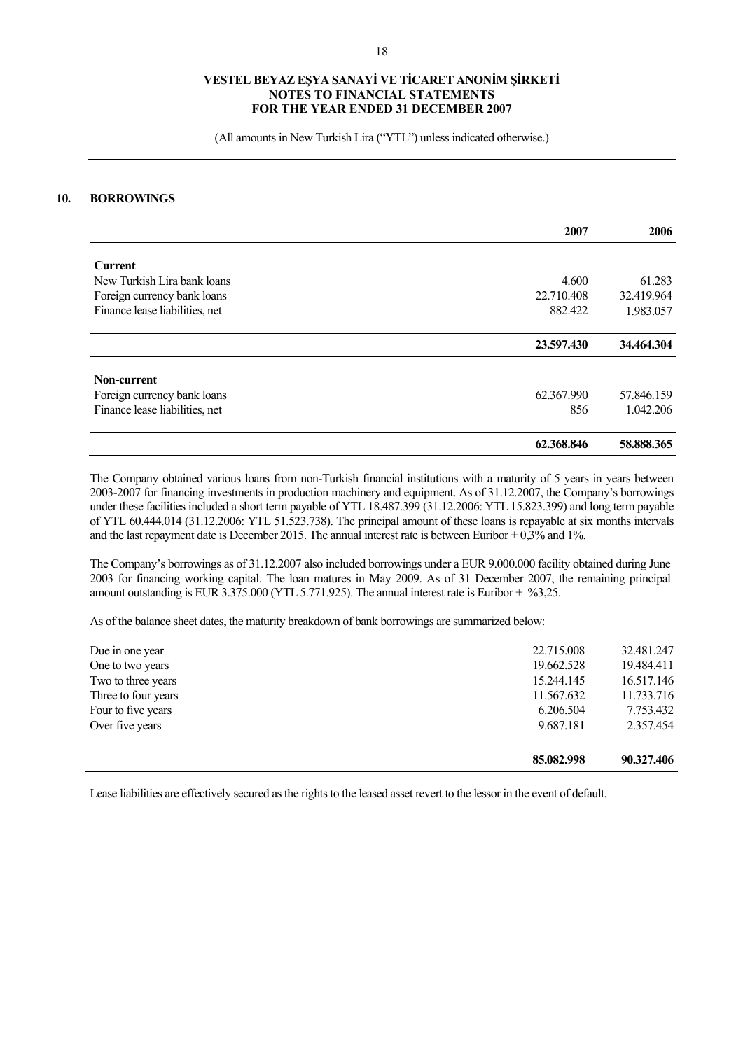(All amounts in New Turkish Lira ("YTL") unless indicated otherwise.)

### **10. BORROWINGS**

|                                | 2007       | 2006       |
|--------------------------------|------------|------------|
| <b>Current</b>                 |            |            |
| New Turkish Lira bank loans    | 4.600      | 61.283     |
| Foreign currency bank loans    | 22.710.408 | 32.419.964 |
| Finance lease liabilities, net | 882.422    | 1.983.057  |
|                                | 23.597.430 | 34.464.304 |
| Non-current                    |            |            |
| Foreign currency bank loans    | 62.367.990 | 57.846.159 |
| Finance lease liabilities, net | 856        | 1.042.206  |
|                                | 62.368.846 | 58.888.365 |

The Company obtained various loans from non-Turkish financial institutions with a maturity of 5 years in years between 2003-2007 for financing investments in production machinery and equipment. As of 31.12.2007, the Company's borrowings under these facilities included a short term payable of YTL 18.487.399 (31.12.2006: YTL 15.823.399) and long term payable of YTL 60.444.014 (31.12.2006: YTL 51.523.738). The principal amount of these loans is repayable at six months intervals and the last repayment date is December 2015. The annual interest rate is between Euribor  $+0.3\%$  and 1%.

The Company's borrowings as of 31.12.2007 also included borrowings under a EUR 9.000.000 facility obtained during June 2003 for financing working capital. The loan matures in May 2009. As of 31 December 2007, the remaining principal amount outstanding is EUR 3.375.000 (YTL 5.771.925). The annual interest rate is Euribor +  $\%3,25$ .

As of the balance sheet dates, the maturity breakdown of bank borrowings are summarized below:

|                     | 85.082.998 | 90.327.406 |
|---------------------|------------|------------|
| Over five years     | 9.687.181  | 2.357.454  |
| Four to five years  | 6.206.504  | 7.753.432  |
| Three to four years | 11.567.632 | 11.733.716 |
| Two to three years  | 15.244.145 | 16.517.146 |
| One to two years    | 19.662.528 | 19.484.411 |
| Due in one year     | 22.715.008 | 32.481.247 |
|                     |            |            |

Lease liabilities are effectively secured as the rights to the leased asset revert to the lessor in the event of default.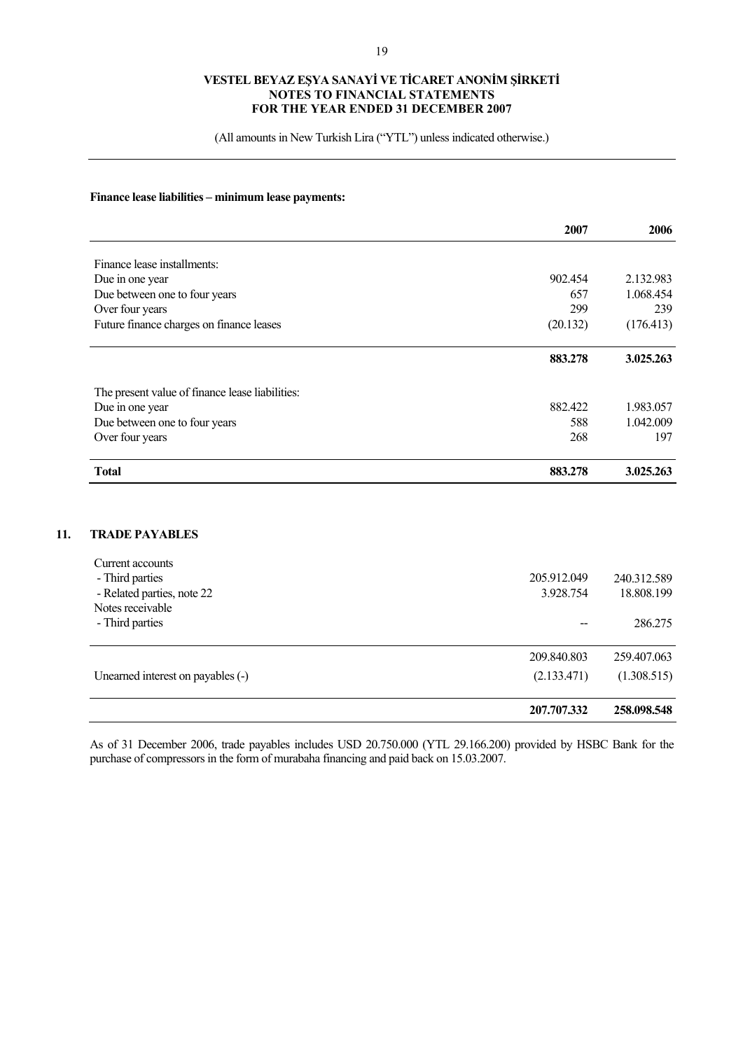(All amounts in New Turkish Lira ("YTL") unless indicated otherwise.)

### **Finance lease liabilities – minimum lease payments:**

**11.** 

|                                                 | 2007     | 2006      |
|-------------------------------------------------|----------|-----------|
| Finance lease installments:                     |          |           |
|                                                 | 902.454  | 2.132.983 |
| Due in one year                                 | 657      | 1.068.454 |
| Due between one to four years                   |          |           |
| Over four years                                 | 299      | 239       |
| Future finance charges on finance leases        | (20.132) | (176.413) |
|                                                 | 883.278  | 3.025.263 |
| The present value of finance lease liabilities: |          |           |
| Due in one year                                 | 882.422  | 1.983.057 |
| Due between one to four years                   | 588      | 1.042.009 |
| Over four years                                 | 268      | 197       |
| <b>Total</b>                                    | 883.278  | 3.025.263 |
|                                                 |          |           |
| <b>TRADE PAYABLES</b>                           |          |           |
| Current accounts                                |          |           |

|                                               | 207.707.332              | 258.098.548               |
|-----------------------------------------------|--------------------------|---------------------------|
| Unearned interest on payables (-)             | (2.133.471)              | (1.308.515)               |
|                                               | 209.840.803              | 259.407.063               |
| - Third parties                               |                          | 286,275                   |
| Notes receivable                              |                          |                           |
| - Third parties<br>- Related parties, note 22 | 205.912.049<br>3.928.754 | 240.312.589<br>18.808.199 |
| can che account                               |                          |                           |

As of 31 December 2006, trade payables includes USD 20.750.000 (YTL 29.166.200) provided by HSBC Bank for the purchase of compressors in the form of murabaha financing and paid back on 15.03.2007.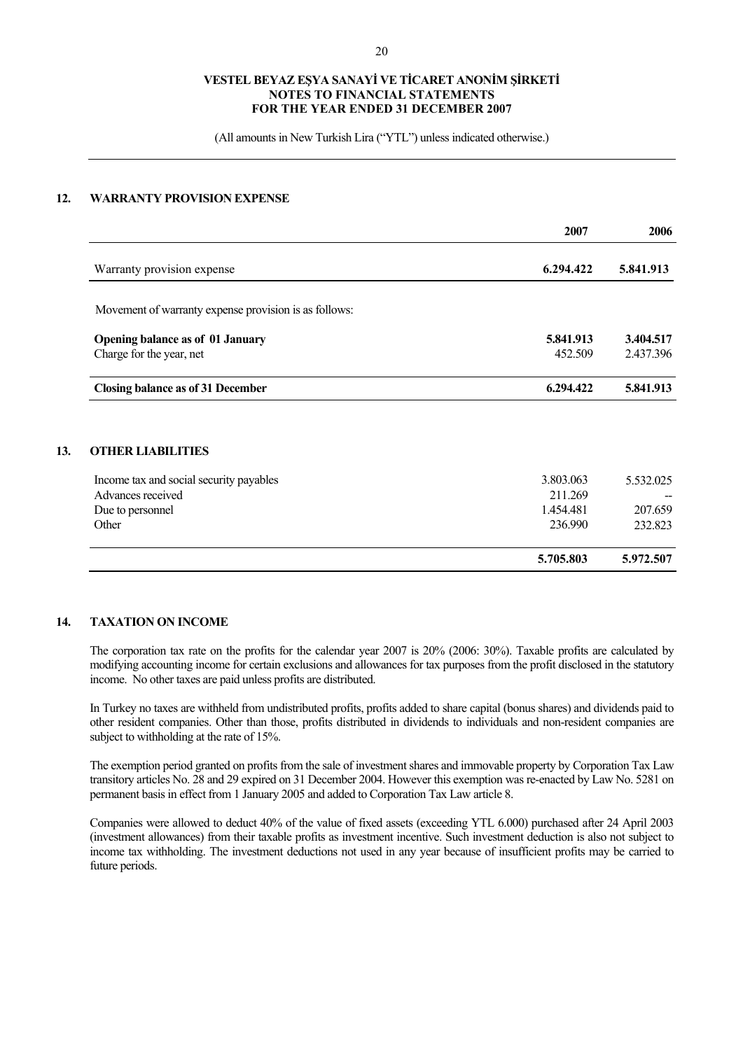(All amounts in New Turkish Lira ("YTL") unless indicated otherwise.)

### **12. WARRANTY PROVISION EXPENSE**

|                                                       | 2007      | 2006      |
|-------------------------------------------------------|-----------|-----------|
| Warranty provision expense                            | 6.294.422 | 5.841.913 |
| Movement of warranty expense provision is as follows: |           |           |
| <b>Opening balance as of 01 January</b>               | 5.841.913 | 3.404.517 |
| Charge for the year, net                              | 452.509   | 2.437.396 |
| <b>Closing balance as of 31 December</b>              | 6.294.422 | 5.841.913 |
| <b>OTHER LIABILITIES</b>                              |           |           |
| Income tax and social security payables               | 3.803.063 | 5.532.025 |
| Advances received                                     | 211.269   |           |
| Due to personnel                                      | 1.454.481 | 207.659   |
| Other                                                 | 236.990   | 232.823   |
|                                                       | 5.705.803 | 5.972.507 |

### **14. TAXATION ON INCOME**

The corporation tax rate on the profits for the calendar year 2007 is 20% (2006: 30%). Taxable profits are calculated by modifying accounting income for certain exclusions and allowances for tax purposes from the profit disclosed in the statutory income. No other taxes are paid unless profits are distributed.

In Turkey no taxes are withheld from undistributed profits, profits added to share capital (bonus shares) and dividends paid to other resident companies. Other than those, profits distributed in dividends to individuals and non-resident companies are subject to withholding at the rate of 15%.

The exemption period granted on profits from the sale of investment shares and immovable property by Corporation Tax Law transitory articles No. 28 and 29 expired on 31 December 2004. However this exemption was re-enacted by Law No. 5281 on permanent basis in effect from 1 January 2005 and added to Corporation Tax Law article 8.

Companies were allowed to deduct 40% of the value of fixed assets (exceeding YTL 6.000) purchased after 24 April 2003 (investment allowances) from their taxable profits as investment incentive. Such investment deduction is also not subject to income tax withholding. The investment deductions not used in any year because of insufficient profits may be carried to future periods.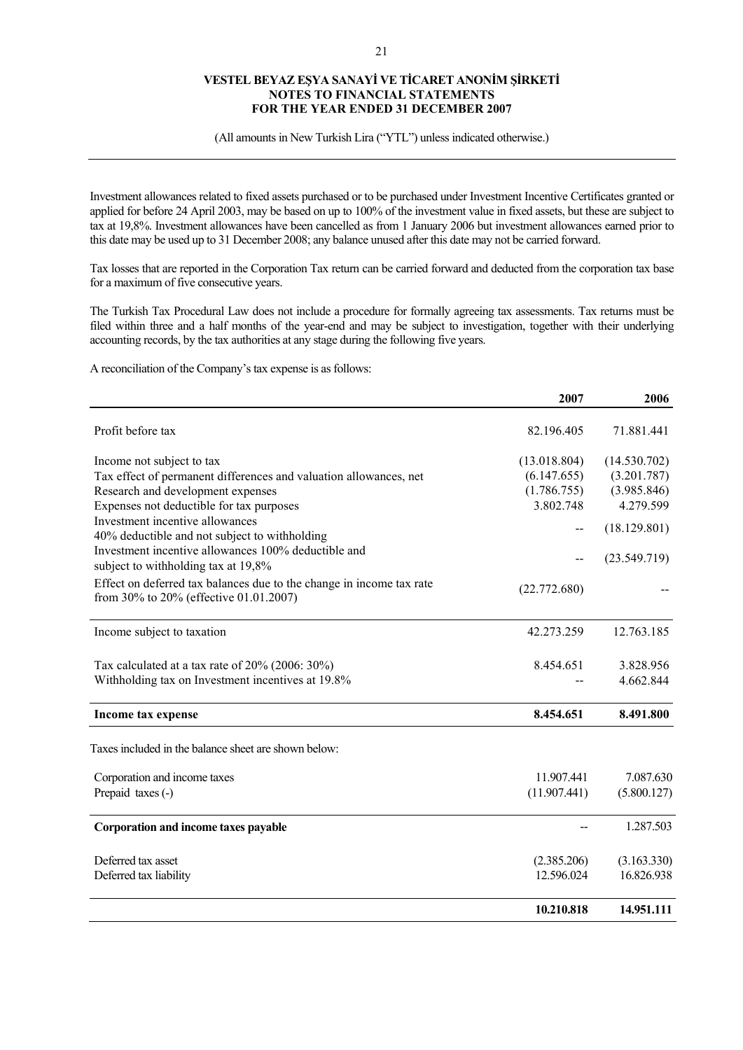(All amounts in New Turkish Lira ("YTL") unless indicated otherwise.)

Investment allowances related to fixed assets purchased or to be purchased under Investment Incentive Certificates granted or applied for before 24 April 2003, may be based on up to 100% of the investment value in fixed assets, but these are subject to tax at 19,8%. Investment allowances have been cancelled as from 1 January 2006 but investment allowances earned prior to this date may be used up to 31 December 2008; any balance unused after this date may not be carried forward.

Tax losses that are reported in the Corporation Tax return can be carried forward and deducted from the corporation tax base for a maximum of five consecutive years.

The Turkish Tax Procedural Law does not include a procedure for formally agreeing tax assessments. Tax returns must be filed within three and a half months of the year-end and may be subject to investigation, together with their underlying accounting records, by the tax authorities at any stage during the following five years.

A reconciliation of the Company's tax expense is as follows:

|                                                                                                | 2007         | 2006         |
|------------------------------------------------------------------------------------------------|--------------|--------------|
| Profit before tax                                                                              | 82.196.405   | 71.881.441   |
|                                                                                                | (13.018.804) | (14.530.702) |
| Income not subject to tax<br>Tax effect of permanent differences and valuation allowances, net | (6.147.655)  | (3.201.787)  |
| Research and development expenses                                                              | (1.786.755)  | (3.985.846)  |
| Expenses not deductible for tax purposes                                                       | 3.802.748    | 4.279.599    |
| Investment incentive allowances                                                                |              |              |
| 40% deductible and not subject to withholding                                                  | --           | (18.129.801) |
| Investment incentive allowances 100% deductible and                                            |              |              |
| subject to withholding tax at 19,8%                                                            | --           | (23.549.719) |
| Effect on deferred tax balances due to the change in income tax rate                           |              |              |
| from 30% to 20% (effective 01.01.2007)                                                         | (22.772.680) |              |
| Income subject to taxation                                                                     | 42.273.259   | 12.763.185   |
| Tax calculated at a tax rate of $20\%$ (2006: 30%)                                             | 8.454.651    | 3.828.956    |
| Withholding tax on Investment incentives at 19.8%                                              |              | 4.662.844    |
| Income tax expense                                                                             | 8.454.651    | 8.491.800    |
| Taxes included in the balance sheet are shown below:                                           |              |              |
| Corporation and income taxes                                                                   | 11.907.441   | 7.087.630    |
| Prepaid taxes (-)                                                                              | (11.907.441) | (5.800.127)  |
| Corporation and income taxes payable                                                           |              | 1.287.503    |
| Deferred tax asset                                                                             | (2.385.206)  | (3.163.330)  |
| Deferred tax liability                                                                         | 12.596.024   | 16.826.938   |
|                                                                                                | 10.210.818   | 14.951.111   |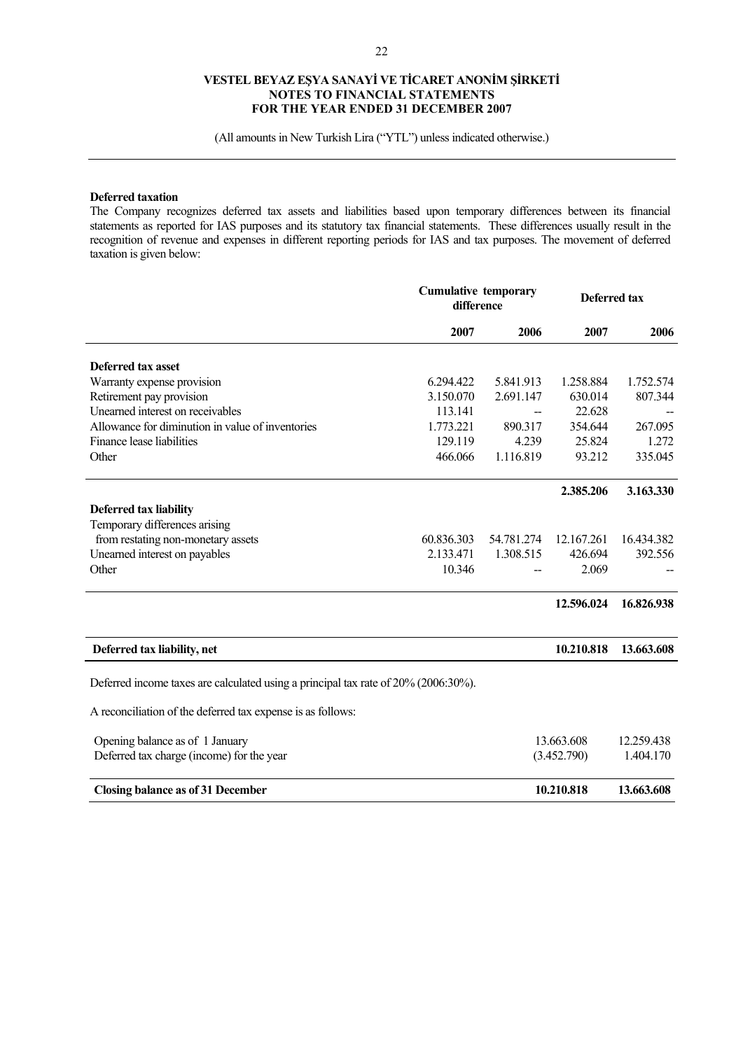(All amounts in New Turkish Lira ("YTL") unless indicated otherwise.)

### **Deferred taxation**

The Company recognizes deferred tax assets and liabilities based upon temporary differences between its financial statements as reported for IAS purposes and its statutory tax financial statements. These differences usually result in the recognition of revenue and expenses in different reporting periods for IAS and tax purposes. The movement of deferred taxation is given below:

|                                                                                    | <b>Cumulative temporary</b><br>difference |            |             | <b>Deferred tax</b> |
|------------------------------------------------------------------------------------|-------------------------------------------|------------|-------------|---------------------|
|                                                                                    | 2007                                      | 2006       | 2007        | 2006                |
| Deferred tax asset                                                                 |                                           |            |             |                     |
| Warranty expense provision                                                         | 6.294.422                                 | 5.841.913  | 1.258.884   | 1.752.574           |
| Retirement pay provision                                                           | 3.150.070                                 | 2.691.147  | 630.014     | 807.344             |
| Unearned interest on receivables                                                   | 113.141                                   |            | 22.628      |                     |
| Allowance for diminution in value of inventories                                   | 1.773.221                                 | 890.317    | 354.644     | 267.095             |
| Finance lease liabilities                                                          | 129.119                                   | 4.239      | 25.824      | 1.272               |
| Other                                                                              | 466.066                                   | 1.116.819  | 93.212      | 335.045             |
|                                                                                    |                                           |            | 2.385.206   | 3.163.330           |
| <b>Deferred tax liability</b>                                                      |                                           |            |             |                     |
| Temporary differences arising                                                      |                                           |            |             |                     |
| from restating non-monetary assets                                                 | 60.836.303                                | 54.781.274 | 12.167.261  | 16.434.382          |
| Unearned interest on payables                                                      | 2.133.471                                 | 1.308.515  | 426.694     | 392.556             |
| Other                                                                              | 10.346                                    |            | 2.069       |                     |
|                                                                                    |                                           |            | 12.596.024  | 16.826.938          |
| Deferred tax liability, net                                                        |                                           |            | 10.210.818  | 13.663.608          |
| Deferred income taxes are calculated using a principal tax rate of 20% (2006:30%). |                                           |            |             |                     |
| A reconciliation of the deferred tax expense is as follows:                        |                                           |            |             |                     |
| Opening balance as of 1 January                                                    |                                           |            | 13.663.608  | 12.259.438          |
| Deferred tax charge (income) for the year                                          |                                           |            | (3.452.790) | 1.404.170           |
| Closing balance as of 31 December                                                  |                                           |            | 10.210.818  | 13.663.608          |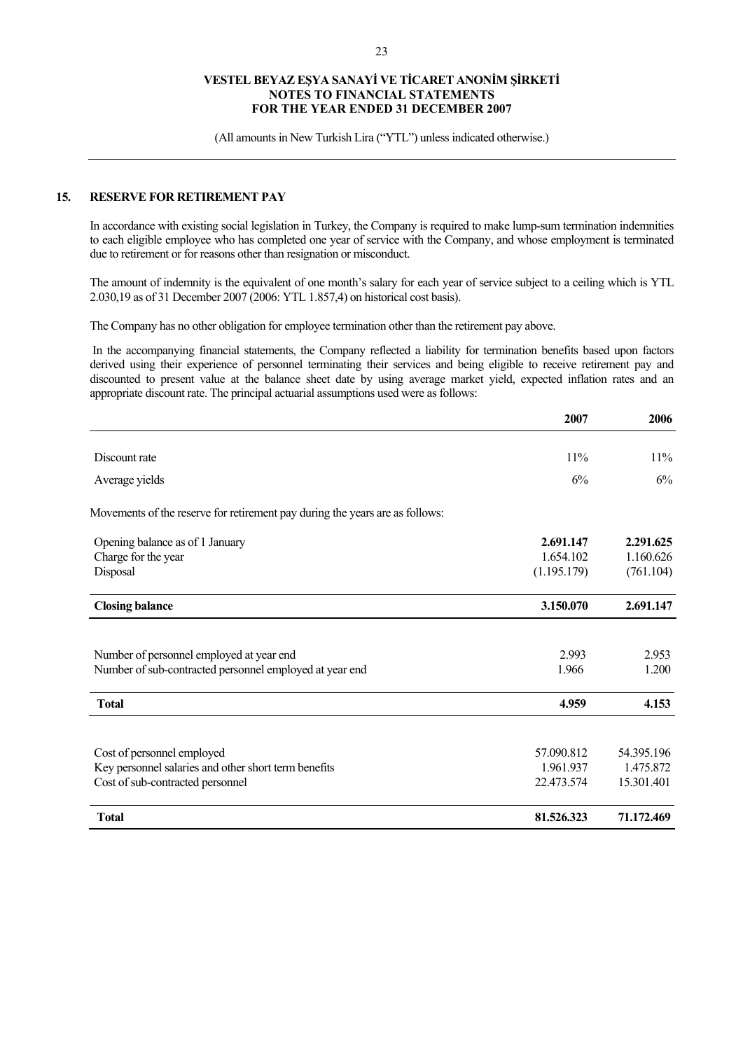(All amounts in New Turkish Lira ("YTL") unless indicated otherwise.)

### **15. RESERVE FOR RETIREMENT PAY**

In accordance with existing social legislation in Turkey, the Company is required to make lump-sum termination indemnities to each eligible employee who has completed one year of service with the Company, and whose employment is terminated due to retirement or for reasons other than resignation or misconduct.

The amount of indemnity is the equivalent of one month's salary for each year of service subject to a ceiling which is YTL 2.030,19 as of 31 December 2007 (2006: YTL 1.857,4) on historical cost basis).

The Company has no other obligation for employee termination other than the retirement pay above.

 In the accompanying financial statements, the Company reflected a liability for termination benefits based upon factors derived using their experience of personnel terminating their services and being eligible to receive retirement pay and discounted to present value at the balance sheet date by using average market yield, expected inflation rates and an appropriate discount rate. The principal actuarial assumptions used were as follows:

|                                                                              | 2007        | 2006       |
|------------------------------------------------------------------------------|-------------|------------|
|                                                                              |             |            |
| Discount rate                                                                | 11%         | 11%        |
| Average yields                                                               | 6%          | 6%         |
| Movements of the reserve for retirement pay during the years are as follows: |             |            |
| Opening balance as of 1 January                                              | 2.691.147   | 2.291.625  |
| Charge for the year                                                          | 1.654.102   | 1.160.626  |
| Disposal                                                                     | (1.195.179) | (761.104)  |
| <b>Closing balance</b>                                                       | 3.150.070   | 2.691.147  |
|                                                                              |             |            |
| Number of personnel employed at year end                                     | 2.993       | 2.953      |
| Number of sub-contracted personnel employed at year end                      | 1.966       | 1.200      |
| <b>Total</b>                                                                 | 4.959       | 4.153      |
|                                                                              |             |            |
| Cost of personnel employed                                                   | 57.090.812  | 54.395.196 |
| Key personnel salaries and other short term benefits                         | 1.961.937   | 1.475.872  |
| Cost of sub-contracted personnel                                             | 22.473.574  | 15.301.401 |
| <b>Total</b>                                                                 | 81.526.323  | 71.172.469 |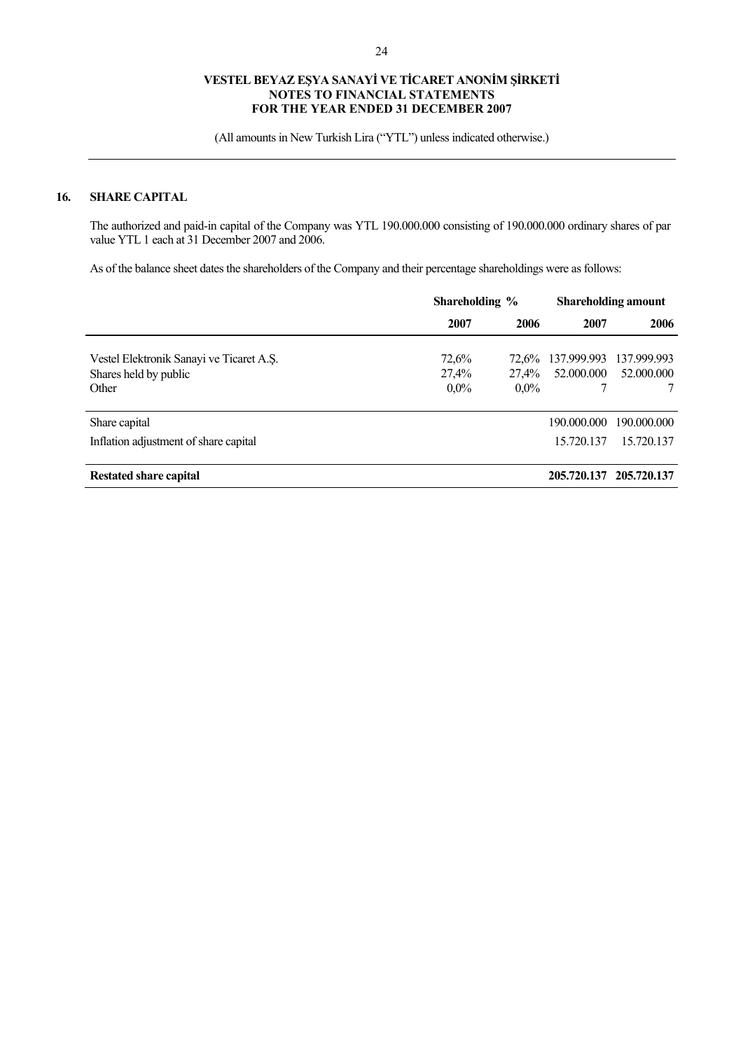(All amounts in New Turkish Lira ("YTL") unless indicated otherwise.)

### **16. SHARE CAPITAL**

The authorized and paid-in capital of the Company was YTL 190.000.000 consisting of 190.000.000 ordinary shares of par value YTL 1 each at 31 December 2007 and 2006.

As of the balance sheet dates the shareholders of the Company and their percentage shareholdings were as follows:

|                                          | Shareholding % |         | <b>Shareholding amount</b> |                         |
|------------------------------------------|----------------|---------|----------------------------|-------------------------|
|                                          | 2007           | 2006    | 2007                       | 2006                    |
| Vestel Elektronik Sanayi ve Ticaret A.S. | 72,6%          | 72.6%   | 137.999.993                | 137.999.993             |
| Shares held by public                    | 27,4%          | 27,4%   | 52,000,000                 | 52,000,000              |
| Other                                    | $0.0\%$        | $0.0\%$ | 7                          |                         |
| Share capital                            |                |         | 190.000.000                | 190,000,000             |
| Inflation adjustment of share capital    |                |         | 15.720.137                 | 15.720.137              |
| <b>Restated share capital</b>            |                |         |                            | 205.720.137 205.720.137 |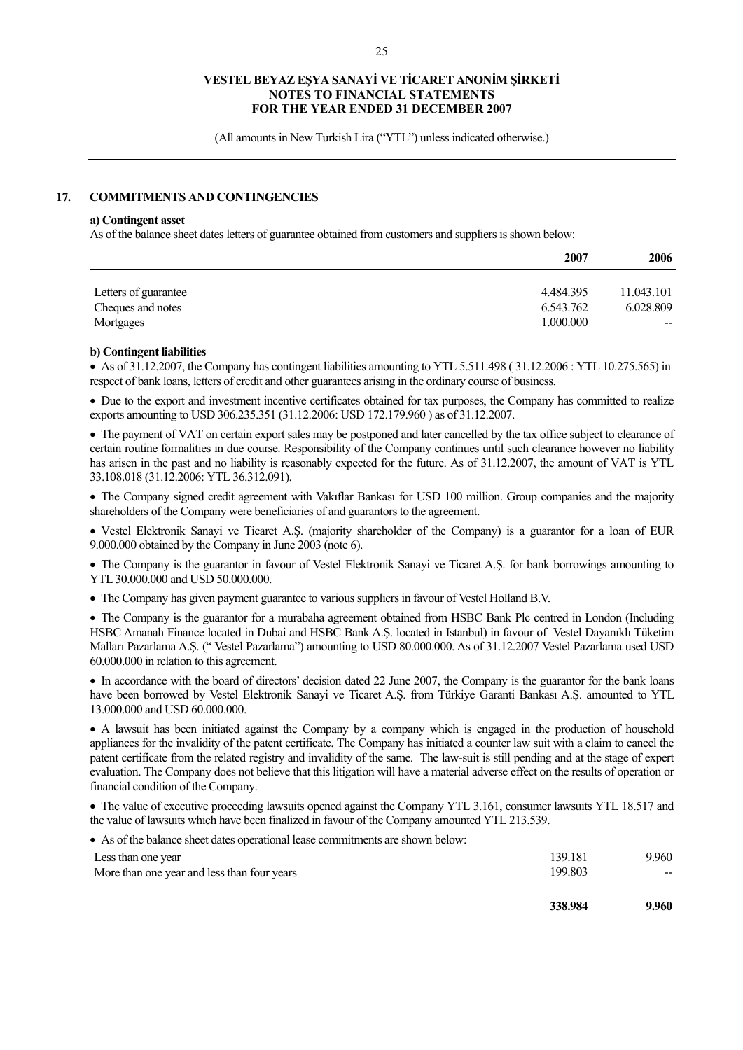(All amounts in New Turkish Lira ("YTL") unless indicated otherwise.)

### **17. COMMITMENTS AND CONTINGENCIES**

#### **a) Contingent asset**

As of the balance sheet dates letters of guarantee obtained from customers and suppliers is shown below:

|                                | 2007                   | 2006               |
|--------------------------------|------------------------|--------------------|
| Letters of guarantee           | 4.484.395              | 11.043.101         |
| Cheques and notes<br>Mortgages | 6.543.762<br>1.000.000 | 6.028.809<br>$- -$ |

### **b) Contingent liabilities**

• As of 31.12.2007, the Company has contingent liabilities amounting to YTL 5.511.498 (31.12.2006 : YTL 10.275.565) in respect of bank loans, letters of credit and other guarantees arising in the ordinary course of business.

• Due to the export and investment incentive certificates obtained for tax purposes, the Company has committed to realize exports amounting to USD 306.235.351 (31.12.2006: USD 172.179.960 ) as of 31.12.2007.

• The payment of VAT on certain export sales may be postponed and later cancelled by the tax office subject to clearance of certain routine formalities in due course. Responsibility of the Company continues until such clearance however no liability has arisen in the past and no liability is reasonably expected for the future. As of 31.12.2007, the amount of VAT is YTL 33.108.018 (31.12.2006: YTL 36.312.091).

• The Company signed credit agreement with Vakıflar Bankası for USD 100 million. Group companies and the majority shareholders of the Company were beneficiaries of and guarantors to the agreement.

• Vestel Elektronik Sanayi ve Ticaret A.Ş. (majority shareholder of the Company) is a guarantor for a loan of EUR 9.000.000 obtained by the Company in June 2003 (note 6).

• The Company is the guarantor in favour of Vestel Elektronik Sanayi ve Ticaret A.Ş. for bank borrowings amounting to YTL 30.000.000 and USD 50.000.000.

• The Company has given payment guarantee to various suppliers in favour of Vestel Holland B.V.

• The Company is the guarantor for a murabaha agreement obtained from HSBC Bank Plc centred in London (Including HSBC Amanah Finance located in Dubai and HSBC Bank A.Ş. located in Istanbul) in favour of Vestel Dayanıklı Tüketim Malları Pazarlama A.Ş. (" Vestel Pazarlama") amounting to USD 80.000.000. As of 31.12.2007 Vestel Pazarlama used USD 60.000.000 in relation to this agreement.

• In accordance with the board of directors' decision dated 22 June 2007, the Company is the guarantor for the bank loans have been borrowed by Vestel Elektronik Sanayi ve Ticaret A.Ş. from Türkiye Garanti Bankası A.Ş. amounted to YTL 13.000.000 and USD 60.000.000.

• A lawsuit has been initiated against the Company by a company which is engaged in the production of household appliances for the invalidity of the patent certificate. The Company has initiated a counter law suit with a claim to cancel the patent certificate from the related registry and invalidity of the same. The law-suit is still pending and at the stage of expert evaluation. The Company does not believe that this litigation will have a material adverse effect on the results of operation or financial condition of the Company.

• The value of executive proceeding lawsuits opened against the Company YTL 3.161, consumer lawsuits YTL 18.517 and the value of lawsuits which have been finalized in favour of the Company amounted YTL 213.539.

• As of the balance sheet dates operational lease commitments are shown below:

|                                             | 338.984 | 9.960  |
|---------------------------------------------|---------|--------|
| More than one year and less than four years | 199.803 | $\sim$ |
| Less than one year                          | 139.181 | 9.960  |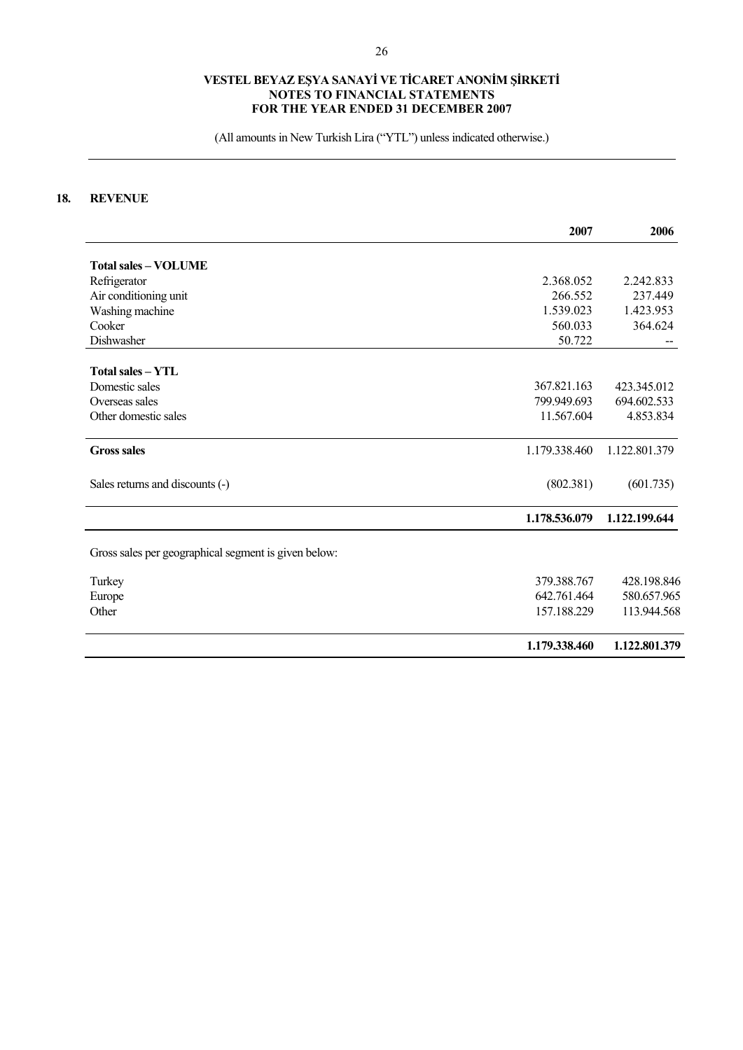(All amounts in New Turkish Lira ("YTL") unless indicated otherwise.)

# **18. REVENUE**

|                                                      | 2007          | 2006          |
|------------------------------------------------------|---------------|---------------|
|                                                      |               |               |
| <b>Total sales - VOLUME</b>                          |               |               |
| Refrigerator                                         | 2.368.052     | 2.242.833     |
| Air conditioning unit                                | 266.552       | 237.449       |
| Washing machine                                      | 1.539.023     | 1.423.953     |
| Cooker                                               | 560.033       | 364.624       |
| Dishwasher                                           | 50.722        |               |
| <b>Total sales - YTL</b>                             |               |               |
| Domestic sales                                       | 367.821.163   | 423.345.012   |
| Overseas sales                                       | 799.949.693   | 694.602.533   |
| Other domestic sales                                 | 11.567.604    | 4.853.834     |
| <b>Gross sales</b>                                   | 1.179.338.460 | 1.122.801.379 |
| Sales returns and discounts (-)                      | (802.381)     | (601.735)     |
|                                                      | 1.178.536.079 | 1.122.199.644 |
| Gross sales per geographical segment is given below: |               |               |
| Turkey                                               | 379.388.767   | 428.198.846   |
| Europe                                               | 642.761.464   | 580.657.965   |
| Other                                                | 157.188.229   | 113.944.568   |
|                                                      | 1.179.338.460 | 1.122.801.379 |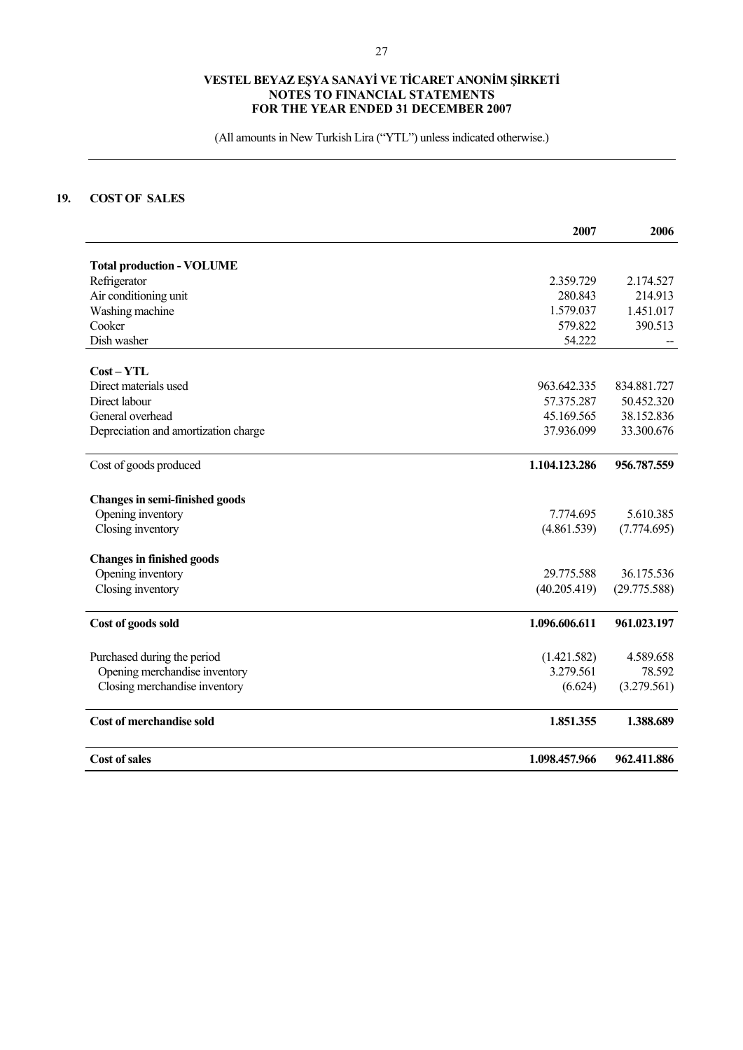(All amounts in New Turkish Lira ("YTL") unless indicated otherwise.)

# **19. COST OF SALES**

|                                       | 2007          | 2006         |
|---------------------------------------|---------------|--------------|
| <b>Total production - VOLUME</b>      |               |              |
| Refrigerator                          | 2.359.729     | 2.174.527    |
| Air conditioning unit                 | 280.843       | 214.913      |
| Washing machine                       | 1.579.037     | 1.451.017    |
| Cooker                                | 579.822       | 390.513      |
| Dish washer                           | 54.222        |              |
| $Cost - YTL$                          |               |              |
| Direct materials used                 | 963.642.335   | 834.881.727  |
| Direct labour                         | 57.375.287    | 50.452.320   |
| General overhead                      | 45.169.565    | 38.152.836   |
| Depreciation and amortization charge  | 37.936.099    | 33.300.676   |
| Cost of goods produced                | 1.104.123.286 | 956.787.559  |
| <b>Changes in semi-finished goods</b> |               |              |
| Opening inventory                     | 7.774.695     | 5.610.385    |
| Closing inventory                     | (4.861.539)   | (7.774.695)  |
| <b>Changes in finished goods</b>      |               |              |
| Opening inventory                     | 29.775.588    | 36.175.536   |
| Closing inventory                     | (40.205.419)  | (29.775.588) |
| Cost of goods sold                    | 1.096.606.611 | 961.023.197  |
| Purchased during the period           | (1.421.582)   | 4.589.658    |
| Opening merchandise inventory         | 3.279.561     | 78.592       |
| Closing merchandise inventory         | (6.624)       | (3.279.561)  |
| <b>Cost of merchandise sold</b>       | 1.851.355     | 1.388.689    |
| <b>Cost of sales</b>                  | 1.098.457.966 | 962.411.886  |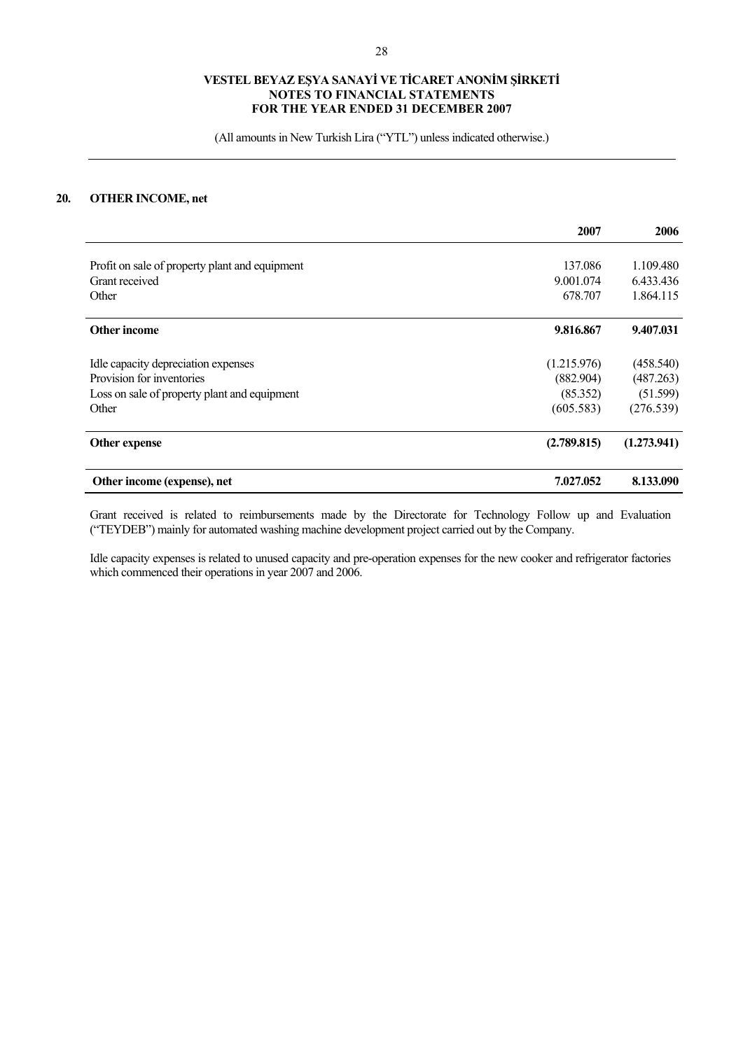(All amounts in New Turkish Lira ("YTL") unless indicated otherwise.)

# **20. OTHER INCOME, net**

|                                                | 2007        | 2006        |
|------------------------------------------------|-------------|-------------|
| Profit on sale of property plant and equipment | 137.086     | 1.109.480   |
| Grant received                                 | 9.001.074   | 6.433.436   |
| Other                                          | 678.707     | 1.864.115   |
| <b>Other income</b>                            | 9.816.867   | 9.407.031   |
| Idle capacity depreciation expenses            | (1.215.976) | (458.540)   |
| Provision for inventories                      | (882.904)   | (487.263)   |
| Loss on sale of property plant and equipment   | (85.352)    | (51.599)    |
| Other                                          | (605.583)   | (276.539)   |
| Other expense                                  | (2.789.815) | (1.273.941) |
| Other income (expense), net                    | 7.027.052   | 8.133.090   |

Grant received is related to reimbursements made by the Directorate for Technology Follow up and Evaluation ("TEYDEB") mainly for automated washing machine development project carried out by the Company.

Idle capacity expenses is related to unused capacity and pre-operation expenses for the new cooker and refrigerator factories which commenced their operations in year 2007 and 2006.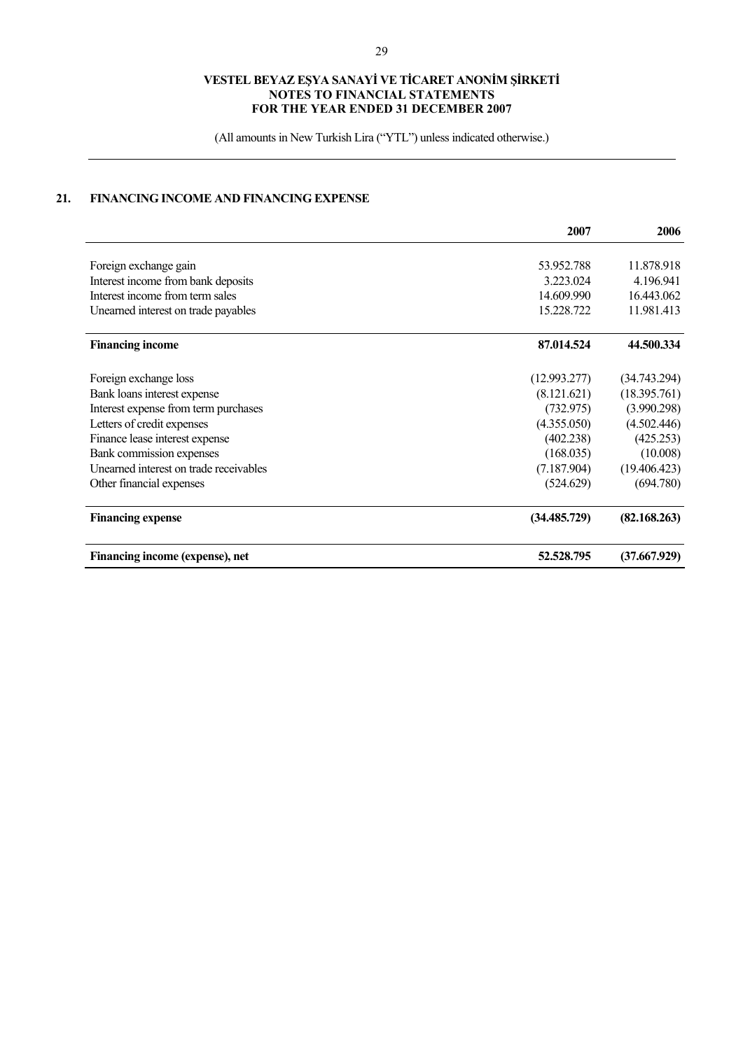(All amounts in New Turkish Lira ("YTL") unless indicated otherwise.)

# **21. FINANCING INCOME AND FINANCING EXPENSE**

|                                        | 2007         | 2006         |
|----------------------------------------|--------------|--------------|
|                                        |              |              |
| Foreign exchange gain                  | 53.952.788   | 11.878.918   |
| Interest income from bank deposits     | 3.223.024    | 4.196.941    |
| Interest income from term sales        | 14.609.990   | 16.443.062   |
| Unearned interest on trade payables    | 15.228.722   | 11.981.413   |
| <b>Financing income</b>                | 87.014.524   | 44.500.334   |
| Foreign exchange loss                  | (12.993.277) | (34.743.294) |
| Bank loans interest expense            | (8.121.621)  | (18.395.761) |
| Interest expense from term purchases   | (732.975)    | (3.990.298)  |
| Letters of credit expenses             | (4.355.050)  | (4.502.446)  |
| Finance lease interest expense         | (402.238)    | (425.253)    |
| Bank commission expenses               | (168.035)    | (10.008)     |
| Unearned interest on trade receivables | (7.187.904)  | (19.406.423) |
| Other financial expenses               | (524.629)    | (694.780)    |
| <b>Financing expense</b>               | (34.485.729) | (82.168.263) |
| Financing income (expense), net        | 52,528,795   | (37.667.929) |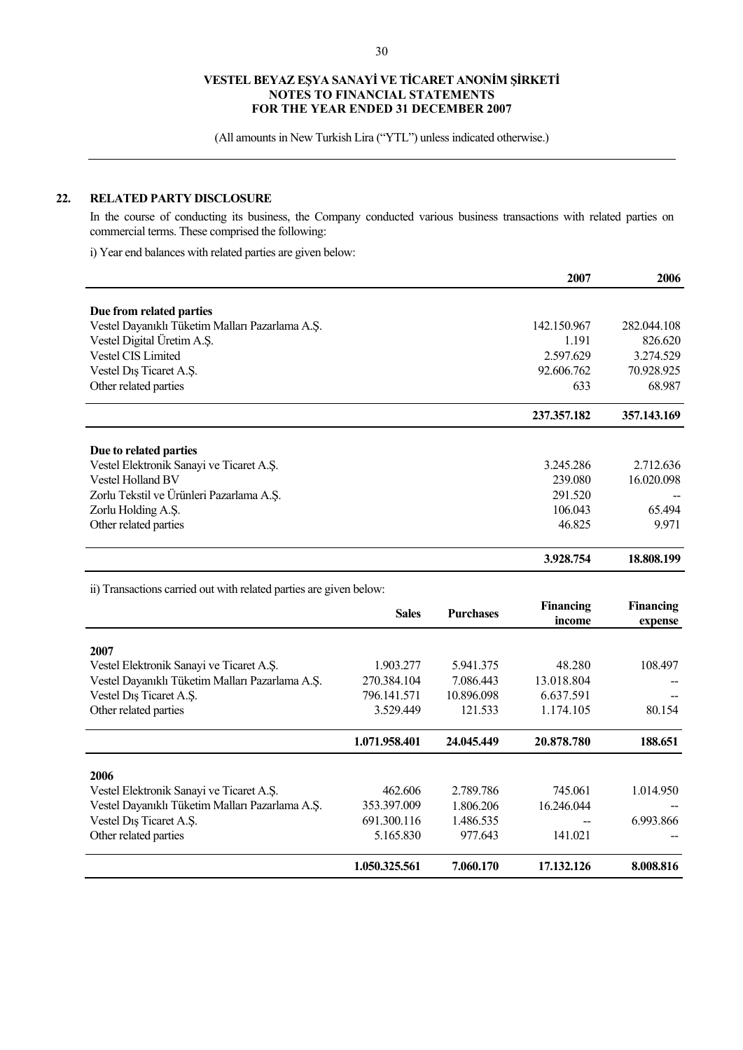(All amounts in New Turkish Lira ("YTL") unless indicated otherwise.)

# **22. RELATED PARTY DISCLOSURE**

In the course of conducting its business, the Company conducted various business transactions with related parties on commercial terms. These comprised the following:

i) Year end balances with related parties are given below:

|                                                 | 2007        | 2006        |
|-------------------------------------------------|-------------|-------------|
| Due from related parties                        |             |             |
| Vestel Dayanıklı Tüketim Malları Pazarlama A.Ş. | 142.150.967 | 282,044.108 |
| Vestel Digital Üretim A.S.                      | 1.191       | 826.620     |
| <b>Vestel CIS Limited</b>                       | 2.597.629   | 3.274.529   |
| Vestel Dis Ticaret A.S.                         | 92.606.762  | 70.928.925  |
| Other related parties                           | 633         | 68.987      |
|                                                 | 237.357.182 | 357.143.169 |
| Due to related parties                          |             |             |
| Vestel Elektronik Sanayi ve Ticaret A.S.        | 3.245.286   | 2.712.636   |
| <b>Vestel Holland BV</b>                        | 239.080     | 16.020.098  |
| Zorlu Tekstil ve Ürünleri Pazarlama A.Ş.        | 291.520     |             |
| Zorlu Holding A.S.                              | 106.043     | 65.494      |
| Other related parties                           | 46.825      | 9.971       |
|                                                 | 3.928.754   | 18.808.199  |

ii) Transactions carried out with related parties are given below:

|                                                 | <b>Sales</b>  | <b>Purchases</b> | Financing<br>income | <b>Financing</b><br>expense |
|-------------------------------------------------|---------------|------------------|---------------------|-----------------------------|
| 2007                                            |               |                  |                     |                             |
| Vestel Elektronik Sanayi ve Ticaret A.S.        | 1.903.277     | 5.941.375        | 48.280              | 108.497                     |
| Vestel Dayanıklı Tüketim Malları Pazarlama A.Ş. | 270.384.104   | 7.086.443        | 13.018.804          |                             |
| Vestel Dis Ticaret A.S.                         | 796.141.571   | 10.896.098       | 6.637.591           |                             |
| Other related parties                           | 3.529.449     | 121.533          | 1.174.105           | 80.154                      |
|                                                 | 1.071.958.401 | 24.045.449       | 20.878.780          | 188.651                     |
| 2006                                            |               |                  |                     |                             |
| Vestel Elektronik Sanayi ve Ticaret A.S.        | 462.606       | 2.789.786        | 745.061             | 1.014.950                   |
| Vestel Dayanıklı Tüketim Malları Pazarlama A.Ş. | 353.397.009   | 1.806.206        | 16.246.044          |                             |
| Vestel Dis Ticaret A.S.                         | 691.300.116   | 1.486.535        |                     | 6.993.866                   |
| Other related parties                           | 5.165.830     | 977.643          | 141.021             |                             |
|                                                 | 1.050.325.561 | 7.060.170        | 17.132.126          | 8.008.816                   |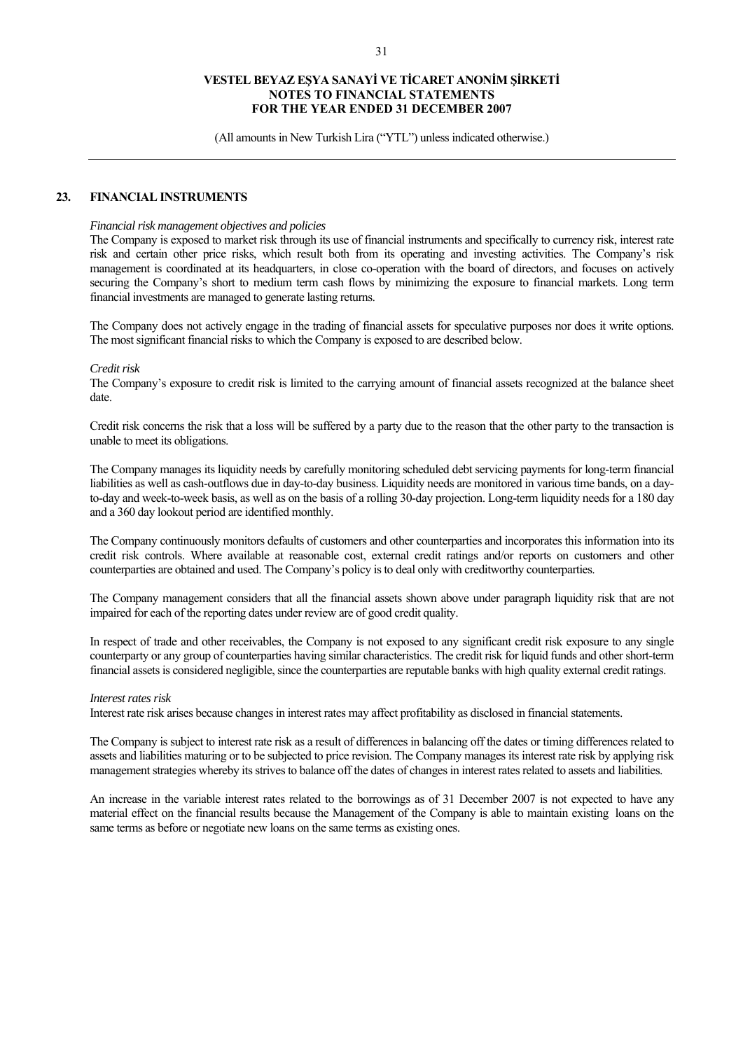(All amounts in New Turkish Lira ("YTL") unless indicated otherwise.)

### **23. FINANCIAL INSTRUMENTS**

#### *Financial risk management objectives and policies*

The Company is exposed to market risk through its use of financial instruments and specifically to currency risk, interest rate risk and certain other price risks, which result both from its operating and investing activities. The Company's risk management is coordinated at its headquarters, in close co-operation with the board of directors, and focuses on actively securing the Company's short to medium term cash flows by minimizing the exposure to financial markets. Long term financial investments are managed to generate lasting returns.

The Company does not actively engage in the trading of financial assets for speculative purposes nor does it write options. The most significant financial risks to which the Company is exposed to are described below.

#### *Credit risk*

The Company's exposure to credit risk is limited to the carrying amount of financial assets recognized at the balance sheet date.

Credit risk concerns the risk that a loss will be suffered by a party due to the reason that the other party to the transaction is unable to meet its obligations.

The Company manages its liquidity needs by carefully monitoring scheduled debt servicing payments for long-term financial liabilities as well as cash-outflows due in day-to-day business. Liquidity needs are monitored in various time bands, on a dayto-day and week-to-week basis, as well as on the basis of a rolling 30-day projection. Long-term liquidity needs for a 180 day and a 360 day lookout period are identified monthly.

The Company continuously monitors defaults of customers and other counterparties and incorporates this information into its credit risk controls. Where available at reasonable cost, external credit ratings and/or reports on customers and other counterparties are obtained and used. The Company's policy is to deal only with creditworthy counterparties.

The Company management considers that all the financial assets shown above under paragraph liquidity risk that are not impaired for each of the reporting dates under review are of good credit quality.

In respect of trade and other receivables, the Company is not exposed to any significant credit risk exposure to any single counterparty or any group of counterparties having similar characteristics. The credit risk for liquid funds and other short-term financial assets is considered negligible, since the counterparties are reputable banks with high quality external credit ratings.

#### *Interest rates risk*

Interest rate risk arises because changes in interest rates may affect profitability as disclosed in financial statements.

The Company is subject to interest rate risk as a result of differences in balancing off the dates or timing differences related to assets and liabilities maturing or to be subjected to price revision. The Company manages its interest rate risk by applying risk management strategies whereby its strives to balance off the dates of changes in interest rates related to assets and liabilities.

An increase in the variable interest rates related to the borrowings as of 31 December 2007 is not expected to have any material effect on the financial results because the Management of the Company is able to maintain existing loans on the same terms as before or negotiate new loans on the same terms as existing ones.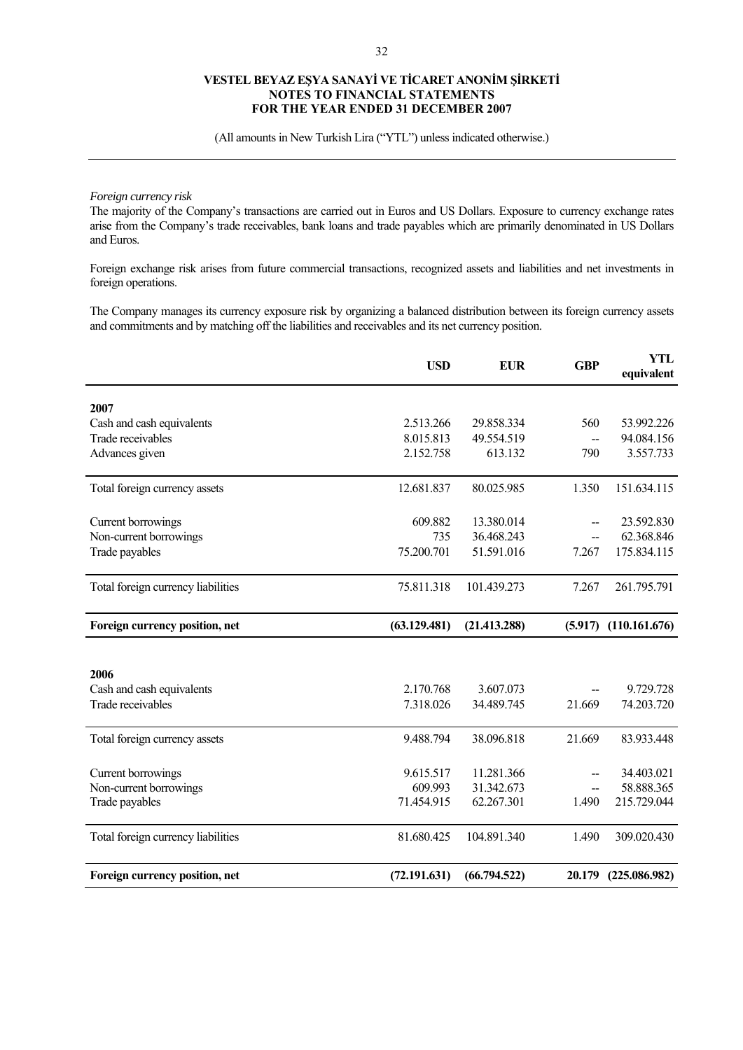(All amounts in New Turkish Lira ("YTL") unless indicated otherwise.)

# *Foreign currency risk*

The majority of the Company's transactions are carried out in Euros and US Dollars. Exposure to currency exchange rates arise from the Company's trade receivables, bank loans and trade payables which are primarily denominated in US Dollars and Euros.

Foreign exchange risk arises from future commercial transactions, recognized assets and liabilities and net investments in foreign operations.

The Company manages its currency exposure risk by organizing a balanced distribution between its foreign currency assets and commitments and by matching off the liabilities and receivables and its net currency position.

|                                    | <b>USD</b>   | <b>EUR</b>   | <b>GBP</b> | <b>YTL</b><br>equivalent |
|------------------------------------|--------------|--------------|------------|--------------------------|
| 2007                               |              |              |            |                          |
| Cash and cash equivalents          | 2.513.266    | 29.858.334   | 560        | 53.992.226               |
| Trade receivables                  | 8.015.813    | 49.554.519   | --         | 94.084.156               |
| Advances given                     | 2.152.758    | 613.132      | 790        | 3.557.733                |
| Total foreign currency assets      | 12.681.837   | 80.025.985   | 1.350      | 151.634.115              |
| Current borrowings                 | 609.882      | 13.380.014   |            | 23.592.830               |
| Non-current borrowings             | 735          | 36.468.243   | --         | 62.368.846               |
| Trade payables                     | 75.200.701   | 51.591.016   | 7.267      | 175.834.115              |
| Total foreign currency liabilities | 75.811.318   | 101.439.273  | 7.267      | 261.795.791              |
| Foreign currency position, net     | (63.129.481) | (21.413.288) | (5.917)    | (110.161.676)            |
|                                    |              |              |            |                          |
| 2006                               |              |              |            |                          |
| Cash and cash equivalents          | 2.170.768    | 3.607.073    |            | 9.729.728                |
| Trade receivables                  | 7.318.026    | 34.489.745   | 21.669     | 74.203.720               |
| Total foreign currency assets      | 9.488.794    | 38.096.818   | 21.669     | 83.933.448               |
| Current borrowings                 | 9.615.517    | 11.281.366   | --         | 34.403.021               |
| Non-current borrowings             | 609.993      | 31.342.673   | --         | 58.888.365               |
| Trade payables                     | 71.454.915   | 62.267.301   | 1.490      | 215.729.044              |
| Total foreign currency liabilities | 81.680.425   | 104.891.340  | 1.490      | 309.020.430              |
| Foreign currency position, net     | (72.191.631) | (66.794.522) |            | 20.179 (225.086.982)     |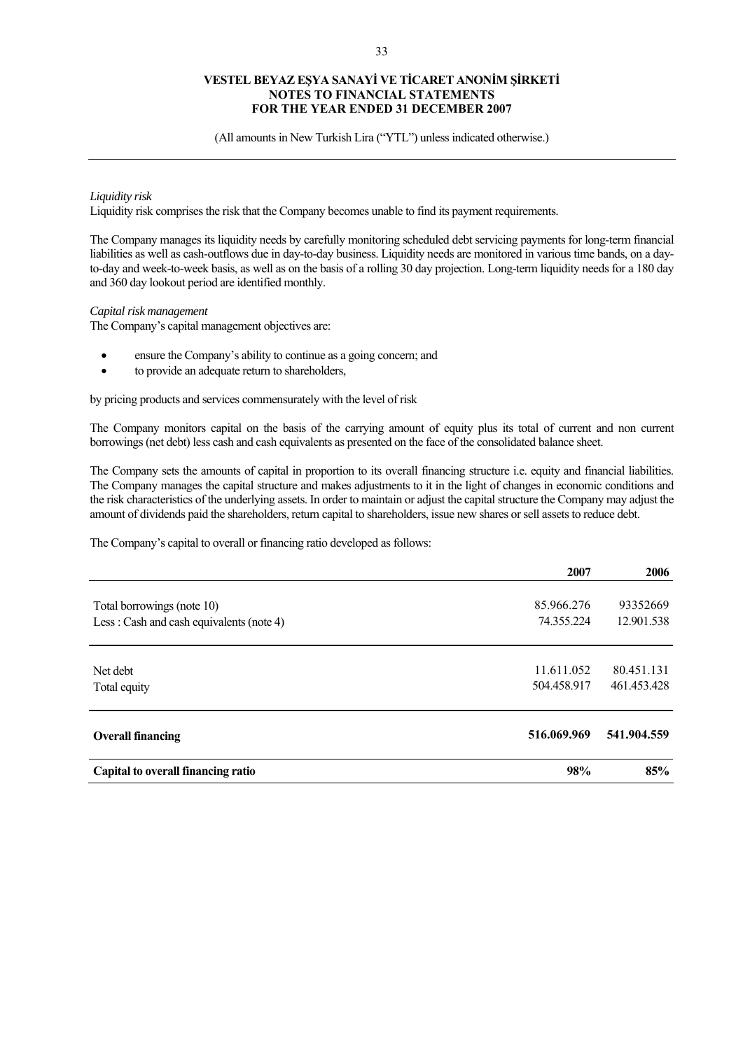(All amounts in New Turkish Lira ("YTL") unless indicated otherwise.)

### *Liquidity risk*

Liquidity risk comprises the risk that the Company becomes unable to find its payment requirements.

The Company manages its liquidity needs by carefully monitoring scheduled debt servicing payments for long-term financial liabilities as well as cash-outflows due in day-to-day business. Liquidity needs are monitored in various time bands, on a dayto-day and week-to-week basis, as well as on the basis of a rolling 30 day projection. Long-term liquidity needs for a 180 day and 360 day lookout period are identified monthly.

### *Capital risk management*

The Company's capital management objectives are:

- ensure the Company's ability to continue as a going concern; and
- to provide an adequate return to shareholders,

by pricing products and services commensurately with the level of risk

The Company monitors capital on the basis of the carrying amount of equity plus its total of current and non current borrowings (net debt) less cash and cash equivalents as presented on the face of the consolidated balance sheet.

The Company sets the amounts of capital in proportion to its overall financing structure i.e. equity and financial liabilities. The Company manages the capital structure and makes adjustments to it in the light of changes in economic conditions and the risk characteristics of the underlying assets. In order to maintain or adjust the capital structure the Company may adjust the amount of dividends paid the shareholders, return capital to shareholders, issue new shares or sell assets to reduce debt.

The Company's capital to overall or financing ratio developed as follows:

|                                          | 2007        | 2006        |
|------------------------------------------|-------------|-------------|
| Total borrowings (note 10)               | 85.966.276  | 93352669    |
| Less: Cash and cash equivalents (note 4) | 74.355.224  | 12.901.538  |
|                                          |             |             |
| Net debt                                 | 11.611.052  | 80.451.131  |
| Total equity                             | 504.458.917 | 461.453.428 |
|                                          |             |             |
| <b>Overall financing</b>                 | 516.069.969 | 541.904.559 |
| Capital to overall financing ratio       | 98%         | 85%         |